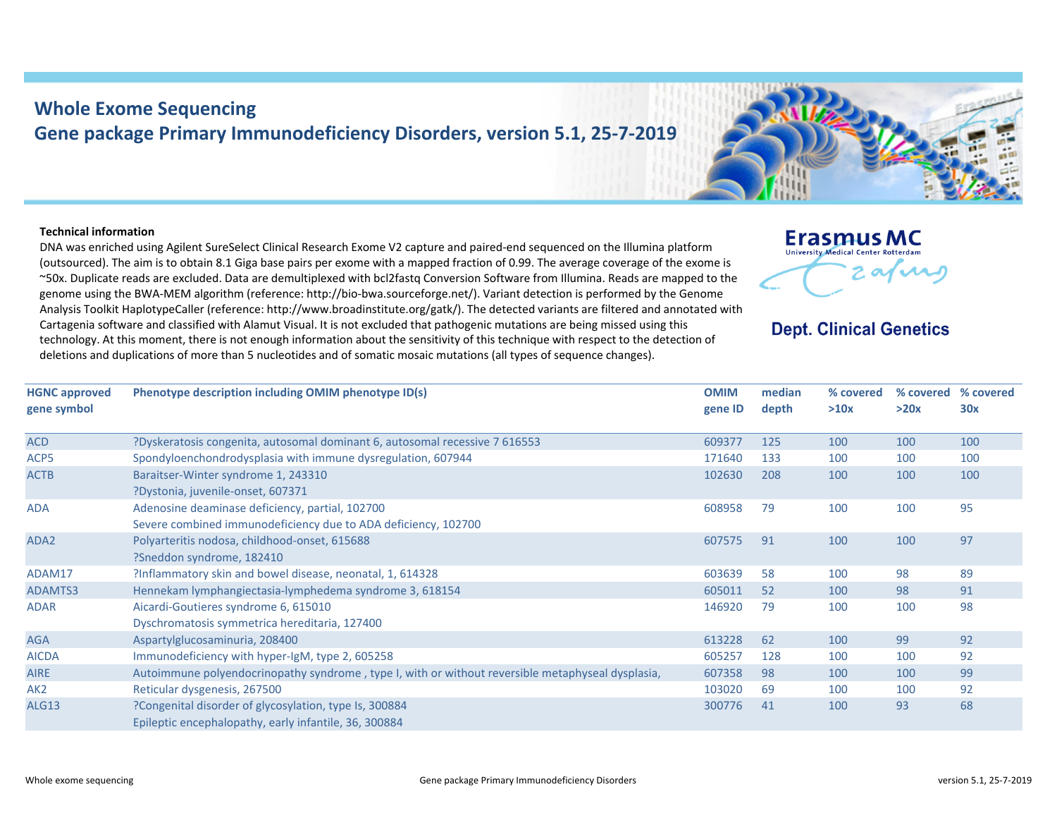## **Whole Exome Sequencing Gene package Primary Immunodeficiency Disorders, version 5.1, 25‐7‐2019**

## **Technical information**

DNA was enriched using Agilent SureSelect Clinical Research Exome V2 capture and paired‐end sequenced on the Illumina platform (outsourced). The aim is to obtain 8.1 Giga base pairs per exome with <sup>a</sup> mapped fraction of 0.99. The average coverage of the exome is ~50x. Duplicate reads are excluded. Data are demultiplexed with bcl2fastq Conversion Software from Illumina. Reads are mapped to the genome using the BWA‐MEM algorithm (reference: http://bio‐bwa.sourceforge.net/). Variant detection is performed by the Genome Analysis Toolkit HaplotypeCaller (reference: http://www.broadinstitute.org/gatk/). The detected variants are filtered and annotated with Cartagenia software and classified with Alamut Visual. It is not excluded that pathogenic mutations are being missed using this technology. At this moment, there is not enough information about the sensitivity of this technique with respect to the detection of deletions and duplications of more than 5 nucleotides and of somatic mosaic mutations (all types of sequence changes).



## **Dept. Clinical Genetics**

| <b>HGNC</b> approved<br>gene symbol | Phenotype description including OMIM phenotype ID(s)                                                              | <b>OMIM</b><br>gene ID | median<br>depth | % covered<br>>10x | % covered<br>>20x | % covered<br>30x |
|-------------------------------------|-------------------------------------------------------------------------------------------------------------------|------------------------|-----------------|-------------------|-------------------|------------------|
| <b>ACD</b>                          | ?Dyskeratosis congenita, autosomal dominant 6, autosomal recessive 7 616553                                       | 609377                 | 125             | 100               | 100               | 100              |
| ACP5                                | Spondyloenchondrodysplasia with immune dysregulation, 607944                                                      | 171640                 | 133             | 100               | 100               | 100              |
| <b>ACTB</b>                         | Baraitser-Winter syndrome 1, 243310<br>?Dystonia, juvenile-onset, 607371                                          | 102630                 | 208             | 100               | 100               | 100              |
| <b>ADA</b>                          | Adenosine deaminase deficiency, partial, 102700<br>Severe combined immunodeficiency due to ADA deficiency, 102700 | 608958                 | 79              | 100               | 100               | 95               |
| ADA <sub>2</sub>                    | Polyarteritis nodosa, childhood-onset, 615688<br>?Sneddon syndrome, 182410                                        | 607575                 | 91              | 100               | 100               | 97               |
| ADAM17                              | ?Inflammatory skin and bowel disease, neonatal, 1, 614328                                                         | 603639                 | 58              | 100               | 98                | 89               |
| ADAMTS3                             | Hennekam lymphangiectasia-lymphedema syndrome 3, 618154                                                           | 605011                 | 52              | 100               | 98                | 91               |
| <b>ADAR</b>                         | Aicardi-Goutieres syndrome 6, 615010<br>Dyschromatosis symmetrica hereditaria, 127400                             | 146920                 | 79              | 100               | 100               | 98               |
| <b>AGA</b>                          | Aspartylglucosaminuria, 208400                                                                                    | 613228                 | 62              | 100               | 99                | 92               |
| <b>AICDA</b>                        | Immunodeficiency with hyper-IgM, type 2, 605258                                                                   | 605257                 | 128             | 100               | 100               | 92               |
| <b>AIRE</b>                         | Autoimmune polyendocrinopathy syndrome, type I, with or without reversible metaphyseal dysplasia,                 | 607358                 | 98              | 100               | 100               | 99               |
| AK <sub>2</sub>                     | Reticular dysgenesis, 267500                                                                                      | 103020                 | 69              | 100               | 100               | 92               |
| ALG13                               | ?Congenital disorder of glycosylation, type Is, 300884<br>Epileptic encephalopathy, early infantile, 36, 300884   | 300776                 | 41              | 100               | 93                | 68               |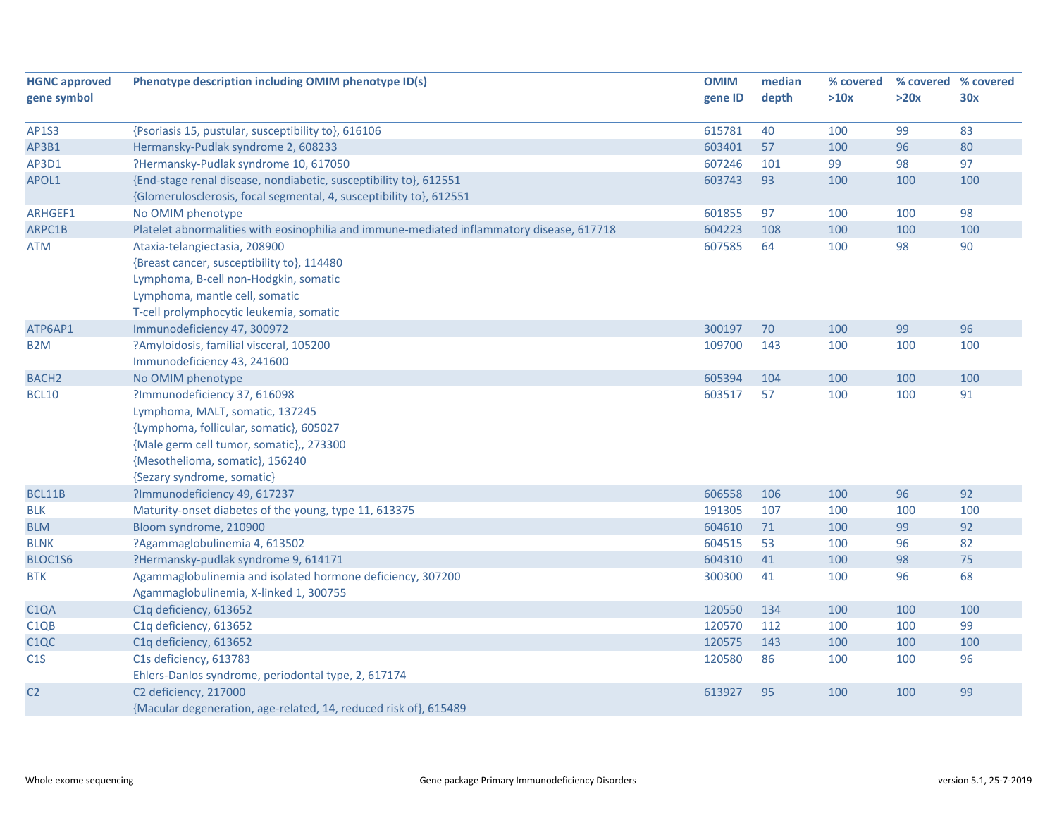| <b>HGNC approved</b> | Phenotype description including OMIM phenotype ID(s)                                      | <b>OMIM</b> | median | % covered |      | % covered % covered |
|----------------------|-------------------------------------------------------------------------------------------|-------------|--------|-----------|------|---------------------|
| gene symbol          |                                                                                           | gene ID     | depth  | >10x      | >20x | 30x                 |
|                      |                                                                                           |             |        |           |      |                     |
| <b>AP1S3</b>         | {Psoriasis 15, pustular, susceptibility to}, 616106                                       | 615781      | 40     | 100       | 99   | 83                  |
| AP3B1                | Hermansky-Pudlak syndrome 2, 608233                                                       | 603401      | 57     | 100       | 96   | 80                  |
| AP3D1                | ?Hermansky-Pudlak syndrome 10, 617050                                                     | 607246      | 101    | 99        | 98   | 97                  |
| APOL1                | {End-stage renal disease, nondiabetic, susceptibility to}, 612551                         | 603743      | 93     | 100       | 100  | 100                 |
|                      | {Glomerulosclerosis, focal segmental, 4, susceptibility to}, 612551                       |             |        |           |      |                     |
| ARHGEF1              | No OMIM phenotype                                                                         | 601855      | 97     | 100       | 100  | 98                  |
| ARPC1B               | Platelet abnormalities with eosinophilia and immune-mediated inflammatory disease, 617718 | 604223      | 108    | 100       | 100  | 100                 |
| <b>ATM</b>           | Ataxia-telangiectasia, 208900                                                             | 607585      | 64     | 100       | 98   | 90                  |
|                      | {Breast cancer, susceptibility to}, 114480                                                |             |        |           |      |                     |
|                      | Lymphoma, B-cell non-Hodgkin, somatic                                                     |             |        |           |      |                     |
|                      | Lymphoma, mantle cell, somatic                                                            |             |        |           |      |                     |
|                      | T-cell prolymphocytic leukemia, somatic                                                   |             |        |           |      |                     |
| ATP6AP1              | Immunodeficiency 47, 300972                                                               | 300197      | 70     | 100       | 99   | 96                  |
| B <sub>2</sub> M     | ?Amyloidosis, familial visceral, 105200                                                   | 109700      | 143    | 100       | 100  | 100                 |
|                      | Immunodeficiency 43, 241600                                                               |             |        |           |      |                     |
| <b>BACH2</b>         | No OMIM phenotype                                                                         | 605394      | 104    | 100       | 100  | 100                 |
| <b>BCL10</b>         | ?Immunodeficiency 37, 616098                                                              | 603517      | 57     | 100       | 100  | 91                  |
|                      | Lymphoma, MALT, somatic, 137245                                                           |             |        |           |      |                     |
|                      | {Lymphoma, follicular, somatic}, 605027                                                   |             |        |           |      |                     |
|                      | {Male germ cell tumor, somatic},, 273300                                                  |             |        |           |      |                     |
|                      | {Mesothelioma, somatic}, 156240                                                           |             |        |           |      |                     |
|                      | {Sezary syndrome, somatic}                                                                |             |        |           |      |                     |
| BCL11B               | ?Immunodeficiency 49, 617237                                                              | 606558      | 106    | 100       | 96   | 92                  |
| <b>BLK</b>           | Maturity-onset diabetes of the young, type 11, 613375                                     | 191305      | 107    | 100       | 100  | 100                 |
| <b>BLM</b>           | Bloom syndrome, 210900                                                                    | 604610      | 71     | 100       | 99   | 92                  |
| <b>BLNK</b>          | ?Agammaglobulinemia 4, 613502                                                             | 604515      | 53     | 100       | 96   | 82                  |
| BLOC1S6              | ?Hermansky-pudlak syndrome 9, 614171                                                      | 604310      | 41     | 100       | 98   | 75                  |
| <b>BTK</b>           | Agammaglobulinemia and isolated hormone deficiency, 307200                                | 300300      | 41     | 100       | 96   | 68                  |
|                      | Agammaglobulinemia, X-linked 1, 300755                                                    |             |        |           |      |                     |
| C <sub>1</sub> QA    | C1q deficiency, 613652                                                                    | 120550      | 134    | 100       | 100  | 100                 |
| C <sub>1QB</sub>     | C1q deficiency, 613652                                                                    | 120570      | 112    | 100       | 100  | 99                  |
| C <sub>1</sub> QC    | C1q deficiency, 613652                                                                    | 120575      | 143    | 100       | 100  | 100                 |
| C1S                  | C1s deficiency, 613783                                                                    | 120580      | 86     | 100       | 100  | 96                  |
|                      | Ehlers-Danlos syndrome, periodontal type, 2, 617174                                       |             |        |           |      |                     |
| C <sub>2</sub>       | C2 deficiency, 217000                                                                     | 613927      | 95     | 100       | 100  | 99                  |
|                      | {Macular degeneration, age-related, 14, reduced risk of}, 615489                          |             |        |           |      |                     |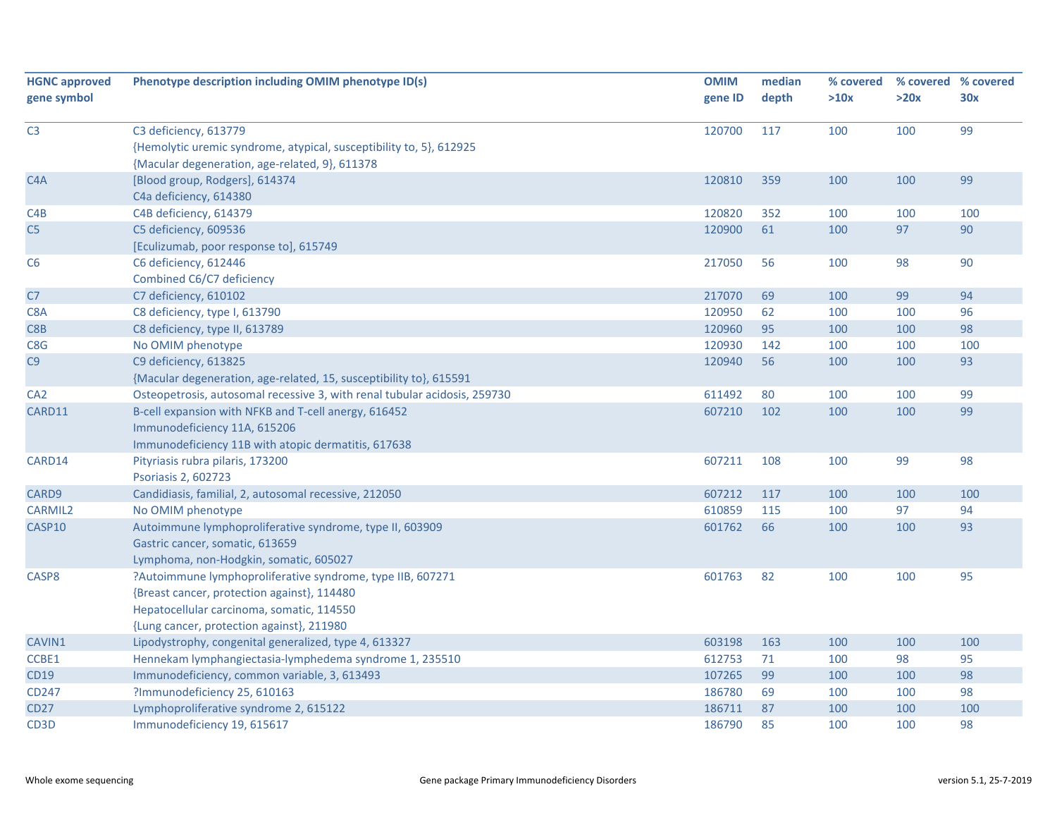| <b>HGNC approved</b> | Phenotype description including OMIM phenotype ID(s)                      | <b>OMIM</b> | median | % covered |      | % covered % covered |
|----------------------|---------------------------------------------------------------------------|-------------|--------|-----------|------|---------------------|
| gene symbol          |                                                                           | gene ID     | depth  | >10x      | >20x | 30x                 |
|                      |                                                                           |             |        |           |      |                     |
| C <sub>3</sub>       | C3 deficiency, 613779                                                     | 120700      | 117    | 100       | 100  | 99                  |
|                      | {Hemolytic uremic syndrome, atypical, susceptibility to, 5}, 612925       |             |        |           |      |                     |
|                      | {Macular degeneration, age-related, 9}, 611378                            |             |        |           |      |                     |
| C <sub>4</sub> A     | [Blood group, Rodgers], 614374                                            | 120810      | 359    | 100       | 100  | 99                  |
|                      | C4a deficiency, 614380                                                    |             |        |           |      |                     |
| C4B                  | C4B deficiency, 614379                                                    | 120820      | 352    | 100       | 100  | 100                 |
| C5                   | C5 deficiency, 609536                                                     | 120900      | 61     | 100       | 97   | 90                  |
|                      | [Eculizumab, poor response to], 615749                                    |             |        |           |      |                     |
| C6                   | C6 deficiency, 612446                                                     | 217050      | 56     | 100       | 98   | 90                  |
|                      | Combined C6/C7 deficiency                                                 |             |        |           |      |                     |
| C <sub>7</sub>       | C7 deficiency, 610102                                                     | 217070      | 69     | 100       | 99   | 94                  |
| C8A                  | C8 deficiency, type I, 613790                                             | 120950      | 62     | 100       | 100  | 96                  |
| C8B                  | C8 deficiency, type II, 613789                                            | 120960      | 95     | 100       | 100  | 98                  |
| C8G                  | No OMIM phenotype                                                         | 120930      | 142    | 100       | 100  | 100                 |
| C9                   | C9 deficiency, 613825                                                     | 120940      | 56     | 100       | 100  | 93                  |
|                      | {Macular degeneration, age-related, 15, susceptibility to}, 615591        |             |        |           |      |                     |
| CA <sub>2</sub>      | Osteopetrosis, autosomal recessive 3, with renal tubular acidosis, 259730 | 611492      | 80     | 100       | 100  | 99                  |
| CARD11               | B-cell expansion with NFKB and T-cell anergy, 616452                      | 607210      | 102    | 100       | 100  | 99                  |
|                      | Immunodeficiency 11A, 615206                                              |             |        |           |      |                     |
|                      | Immunodeficiency 11B with atopic dermatitis, 617638                       |             |        |           |      |                     |
| CARD14               | Pityriasis rubra pilaris, 173200                                          | 607211      | 108    | 100       | 99   | 98                  |
|                      | Psoriasis 2, 602723                                                       |             |        |           |      |                     |
| CARD9                | Candidiasis, familial, 2, autosomal recessive, 212050                     | 607212      | 117    | 100       | 100  | 100                 |
| <b>CARMIL2</b>       | No OMIM phenotype                                                         | 610859      | 115    | 100       | 97   | 94                  |
| CASP10               | Autoimmune lymphoproliferative syndrome, type II, 603909                  | 601762      | 66     | 100       | 100  | 93                  |
|                      | Gastric cancer, somatic, 613659                                           |             |        |           |      |                     |
|                      | Lymphoma, non-Hodgkin, somatic, 605027                                    |             |        |           |      |                     |
| CASP8                | ?Autoimmune lymphoproliferative syndrome, type IIB, 607271                | 601763      | 82     | 100       | 100  | 95                  |
|                      | {Breast cancer, protection against}, 114480                               |             |        |           |      |                     |
|                      | Hepatocellular carcinoma, somatic, 114550                                 |             |        |           |      |                     |
|                      | {Lung cancer, protection against}, 211980                                 |             |        |           |      |                     |
| CAVIN1               | Lipodystrophy, congenital generalized, type 4, 613327                     | 603198      | 163    | 100       | 100  | 100                 |
| CCBE1                | Hennekam lymphangiectasia-lymphedema syndrome 1, 235510                   | 612753      | 71     | 100       | 98   | 95                  |
| <b>CD19</b>          | Immunodeficiency, common variable, 3, 613493                              | 107265      | 99     | 100       | 100  | 98                  |
| CD247                | ?Immunodeficiency 25, 610163                                              | 186780      | 69     | 100       | 100  | 98                  |
| <b>CD27</b>          | Lymphoproliferative syndrome 2, 615122                                    | 186711      | 87     | 100       | 100  | 100                 |
| CD <sub>3</sub> D    | Immunodeficiency 19, 615617                                               | 186790      | 85     | 100       | 100  | 98                  |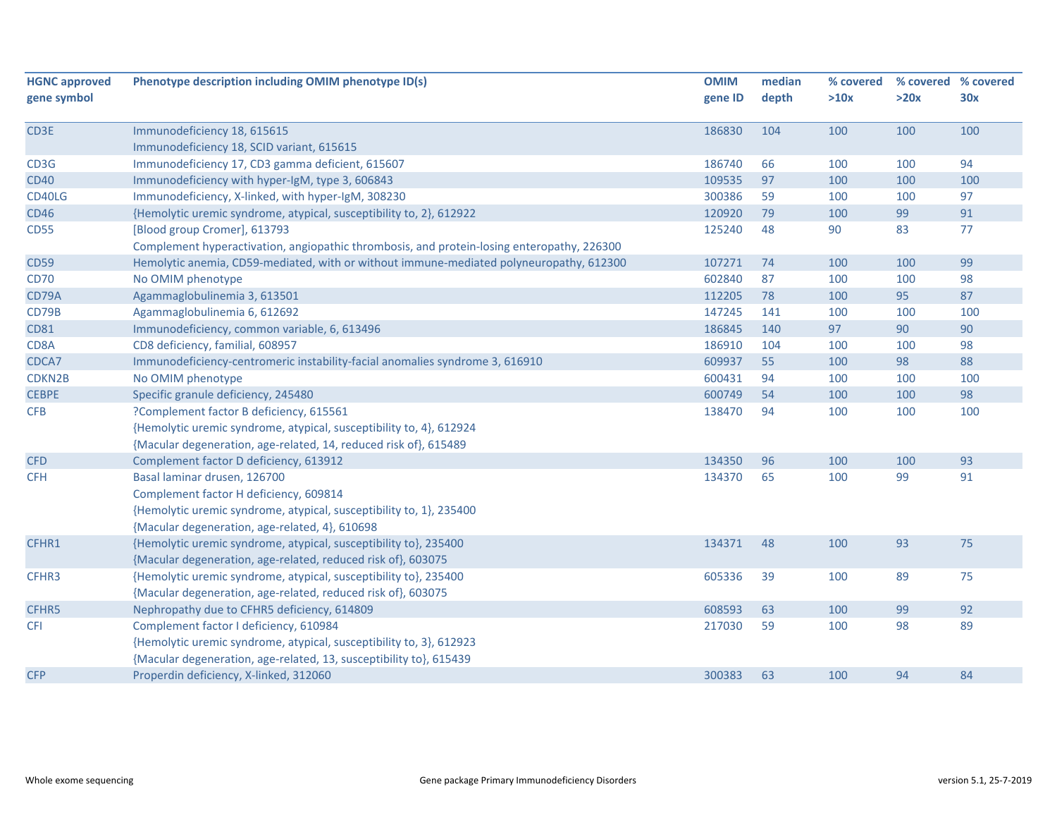| <b>HGNC approved</b> | Phenotype description including OMIM phenotype ID(s)                                       | <b>OMIM</b> | median | % covered |      | % covered % covered |
|----------------------|--------------------------------------------------------------------------------------------|-------------|--------|-----------|------|---------------------|
| gene symbol          |                                                                                            | gene ID     | depth  | >10x      | >20x | 30x                 |
|                      |                                                                                            |             |        |           |      |                     |
| CD3E                 | Immunodeficiency 18, 615615                                                                | 186830      | 104    | 100       | 100  | 100                 |
|                      | Immunodeficiency 18, SCID variant, 615615                                                  |             |        |           |      |                     |
| CD3G                 | Immunodeficiency 17, CD3 gamma deficient, 615607                                           | 186740      | 66     | 100       | 100  | 94                  |
| <b>CD40</b>          | Immunodeficiency with hyper-IgM, type 3, 606843                                            | 109535      | 97     | 100       | 100  | 100                 |
| CD40LG               | Immunodeficiency, X-linked, with hyper-IgM, 308230                                         | 300386      | 59     | 100       | 100  | 97                  |
| <b>CD46</b>          | {Hemolytic uremic syndrome, atypical, susceptibility to, 2}, 612922                        | 120920      | 79     | 100       | 99   | 91                  |
| <b>CD55</b>          | [Blood group Cromer], 613793                                                               | 125240      | 48     | 90        | 83   | 77                  |
|                      | Complement hyperactivation, angiopathic thrombosis, and protein-losing enteropathy, 226300 |             |        |           |      |                     |
| <b>CD59</b>          | Hemolytic anemia, CD59-mediated, with or without immune-mediated polyneuropathy, 612300    | 107271      | 74     | 100       | 100  | 99                  |
| <b>CD70</b>          | No OMIM phenotype                                                                          | 602840      | 87     | 100       | 100  | 98                  |
| CD79A                | Agammaglobulinemia 3, 613501                                                               | 112205      | 78     | 100       | 95   | 87                  |
| CD79B                | Agammaglobulinemia 6, 612692                                                               | 147245      | 141    | 100       | 100  | 100                 |
| <b>CD81</b>          | Immunodeficiency, common variable, 6, 613496                                               | 186845      | 140    | 97        | 90   | 90                  |
| CD8A                 | CD8 deficiency, familial, 608957                                                           | 186910      | 104    | 100       | 100  | 98                  |
| CDCA7                | Immunodeficiency-centromeric instability-facial anomalies syndrome 3, 616910               | 609937      | 55     | 100       | 98   | 88                  |
| CDKN2B               | No OMIM phenotype                                                                          | 600431      | 94     | 100       | 100  | 100                 |
| <b>CEBPE</b>         | Specific granule deficiency, 245480                                                        | 600749      | 54     | 100       | 100  | 98                  |
| <b>CFB</b>           | ?Complement factor B deficiency, 615561                                                    | 138470      | 94     | 100       | 100  | 100                 |
|                      | {Hemolytic uremic syndrome, atypical, susceptibility to, 4}, 612924                        |             |        |           |      |                     |
|                      | {Macular degeneration, age-related, 14, reduced risk of}, 615489                           |             |        |           |      |                     |
| <b>CFD</b>           | Complement factor D deficiency, 613912                                                     | 134350      | 96     | 100       | 100  | 93                  |
| <b>CFH</b>           | Basal laminar drusen, 126700                                                               | 134370      | 65     | 100       | 99   | 91                  |
|                      | Complement factor H deficiency, 609814                                                     |             |        |           |      |                     |
|                      | {Hemolytic uremic syndrome, atypical, susceptibility to, 1}, 235400                        |             |        |           |      |                     |
|                      | {Macular degeneration, age-related, 4}, 610698                                             |             |        |           |      |                     |
| CFHR1                | {Hemolytic uremic syndrome, atypical, susceptibility to}, 235400                           | 134371      | 48     | 100       | 93   | 75                  |
|                      | {Macular degeneration, age-related, reduced risk of}, 603075                               |             |        |           |      |                     |
| CFHR3                | {Hemolytic uremic syndrome, atypical, susceptibility to}, 235400                           | 605336      | 39     | 100       | 89   | 75                  |
|                      | {Macular degeneration, age-related, reduced risk of}, 603075                               |             |        |           |      |                     |
| CFHR5                | Nephropathy due to CFHR5 deficiency, 614809                                                | 608593      | 63     | 100       | 99   | 92                  |
|                      |                                                                                            | 217030      | 59     | 100       | 98   | 89                  |
| <b>CFI</b>           | Complement factor I deficiency, 610984                                                     |             |        |           |      |                     |
|                      | {Hemolytic uremic syndrome, atypical, susceptibility to, 3}, 612923                        |             |        |           |      |                     |
|                      | {Macular degeneration, age-related, 13, susceptibility to}, 615439                         |             |        |           |      |                     |
| <b>CFP</b>           | Properdin deficiency, X-linked, 312060                                                     | 300383      | 63     | 100       | 94   | 84                  |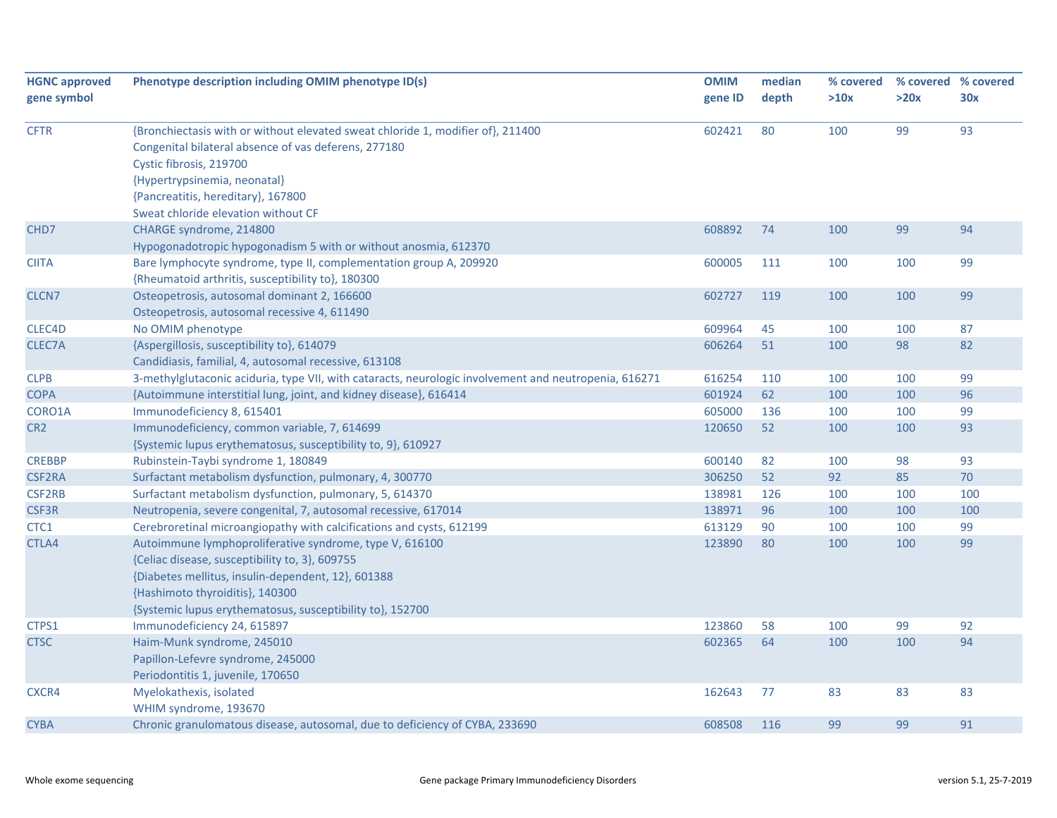| <b>HGNC approved</b> | Phenotype description including OMIM phenotype ID(s)                                                  | <b>OMIM</b> | median | % covered |      | % covered % covered |
|----------------------|-------------------------------------------------------------------------------------------------------|-------------|--------|-----------|------|---------------------|
| gene symbol          |                                                                                                       | gene ID     | depth  | >10x      | >20x | 30x                 |
| <b>CFTR</b>          | {Bronchiectasis with or without elevated sweat chloride 1, modifier of}, 211400                       | 602421      | 80     | 100       | 99   | 93                  |
|                      | Congenital bilateral absence of vas deferens, 277180                                                  |             |        |           |      |                     |
|                      | Cystic fibrosis, 219700                                                                               |             |        |           |      |                     |
|                      | {Hypertrypsinemia, neonatal}                                                                          |             |        |           |      |                     |
|                      | {Pancreatitis, hereditary}, 167800                                                                    |             |        |           |      |                     |
|                      | Sweat chloride elevation without CF                                                                   |             |        |           |      |                     |
| CHD <sub>7</sub>     | CHARGE syndrome, 214800                                                                               | 608892      | 74     | 100       | 99   | 94                  |
|                      | Hypogonadotropic hypogonadism 5 with or without anosmia, 612370                                       |             |        |           |      |                     |
| <b>CIITA</b>         | Bare lymphocyte syndrome, type II, complementation group A, 209920                                    | 600005      | 111    | 100       | 100  | 99                  |
|                      | {Rheumatoid arthritis, susceptibility to}, 180300                                                     |             |        |           |      |                     |
| CLCN7                | Osteopetrosis, autosomal dominant 2, 166600                                                           | 602727      | 119    | 100       | 100  | 99                  |
|                      | Osteopetrosis, autosomal recessive 4, 611490                                                          |             |        |           |      |                     |
| CLEC4D               | No OMIM phenotype                                                                                     | 609964      | 45     | 100       | 100  | 87                  |
| CLEC7A               | {Aspergillosis, susceptibility to}, 614079                                                            | 606264      | 51     | 100       | 98   | 82                  |
|                      | Candidiasis, familial, 4, autosomal recessive, 613108                                                 |             |        |           |      |                     |
| <b>CLPB</b>          | 3-methylglutaconic aciduria, type VII, with cataracts, neurologic involvement and neutropenia, 616271 | 616254      | 110    | 100       | 100  | 99                  |
| <b>COPA</b>          | {Autoimmune interstitial lung, joint, and kidney disease}, 616414                                     | 601924      | 62     | 100       | 100  | 96                  |
| CORO1A               | Immunodeficiency 8, 615401                                                                            | 605000      | 136    | 100       | 100  | 99                  |
| CR <sub>2</sub>      | Immunodeficiency, common variable, 7, 614699                                                          | 120650      | 52     | 100       | 100  | 93                  |
|                      | {Systemic lupus erythematosus, susceptibility to, 9}, 610927                                          |             |        |           |      |                     |
| <b>CREBBP</b>        | Rubinstein-Taybi syndrome 1, 180849                                                                   | 600140      | 82     | 100       | 98   | 93                  |
| <b>CSF2RA</b>        | Surfactant metabolism dysfunction, pulmonary, 4, 300770                                               | 306250      | 52     | 92        | 85   | 70                  |
| <b>CSF2RB</b>        | Surfactant metabolism dysfunction, pulmonary, 5, 614370                                               | 138981      | 126    | 100       | 100  | 100                 |
| <b>CSF3R</b>         | Neutropenia, severe congenital, 7, autosomal recessive, 617014                                        | 138971      | 96     | 100       | 100  | 100                 |
| CTC1                 | Cerebroretinal microangiopathy with calcifications and cysts, 612199                                  | 613129      | 90     | 100       | 100  | 99                  |
| CTLA4                | Autoimmune lymphoproliferative syndrome, type V, 616100                                               | 123890      | 80     | 100       | 100  | 99                  |
|                      | {Celiac disease, susceptibility to, 3}, 609755                                                        |             |        |           |      |                     |
|                      | {Diabetes mellitus, insulin-dependent, 12}, 601388                                                    |             |        |           |      |                     |
|                      | {Hashimoto thyroiditis}, 140300                                                                       |             |        |           |      |                     |
|                      | {Systemic lupus erythematosus, susceptibility to}, 152700                                             |             |        |           |      |                     |
| CTPS1                | Immunodeficiency 24, 615897                                                                           | 123860      | 58     | 100       | 99   | 92                  |
| <b>CTSC</b>          | Haim-Munk syndrome, 245010                                                                            | 602365      | 64     | 100       | 100  | 94                  |
|                      | Papillon-Lefevre syndrome, 245000                                                                     |             |        |           |      |                     |
|                      | Periodontitis 1, juvenile, 170650                                                                     |             |        |           |      |                     |
| CXCR4                | Myelokathexis, isolated                                                                               | 162643      | 77     | 83        | 83   | 83                  |
|                      | WHIM syndrome, 193670                                                                                 |             |        |           |      |                     |
| <b>CYBA</b>          | Chronic granulomatous disease, autosomal, due to deficiency of CYBA, 233690                           | 608508      | 116    | 99        | 99   | 91                  |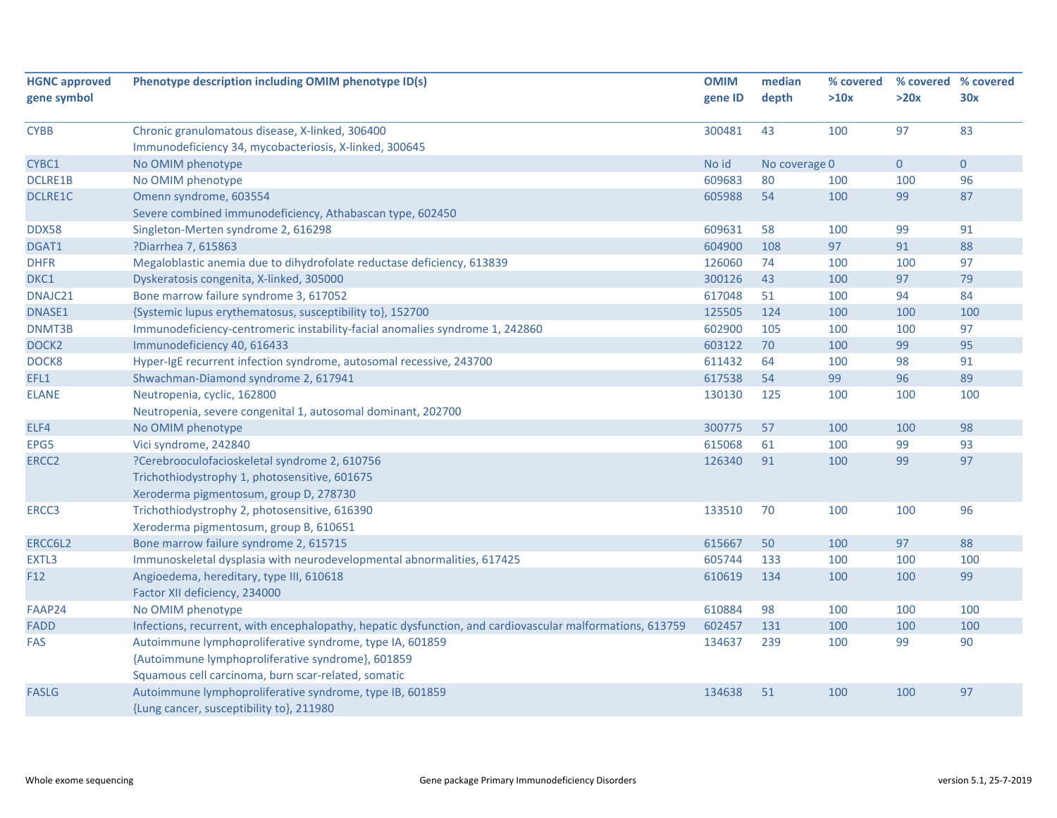|                                                                              | <b>OMIM</b>                                                                                                                                                                                                                                                                                                                                                                                                                                                                                                                                                                                                                                                                                                                                                                                                                                                                                                                                                                                                                                                                                                                                                                                                    | median                                                                                                                                                                              | % covered                                                   |                                                                                           | % covered % covered                                                                              |
|------------------------------------------------------------------------------|----------------------------------------------------------------------------------------------------------------------------------------------------------------------------------------------------------------------------------------------------------------------------------------------------------------------------------------------------------------------------------------------------------------------------------------------------------------------------------------------------------------------------------------------------------------------------------------------------------------------------------------------------------------------------------------------------------------------------------------------------------------------------------------------------------------------------------------------------------------------------------------------------------------------------------------------------------------------------------------------------------------------------------------------------------------------------------------------------------------------------------------------------------------------------------------------------------------|-------------------------------------------------------------------------------------------------------------------------------------------------------------------------------------|-------------------------------------------------------------|-------------------------------------------------------------------------------------------|--------------------------------------------------------------------------------------------------|
|                                                                              | gene ID                                                                                                                                                                                                                                                                                                                                                                                                                                                                                                                                                                                                                                                                                                                                                                                                                                                                                                                                                                                                                                                                                                                                                                                                        | depth                                                                                                                                                                               | >10x                                                        | >20x                                                                                      | 30x                                                                                              |
|                                                                              |                                                                                                                                                                                                                                                                                                                                                                                                                                                                                                                                                                                                                                                                                                                                                                                                                                                                                                                                                                                                                                                                                                                                                                                                                |                                                                                                                                                                                     |                                                             |                                                                                           |                                                                                                  |
|                                                                              |                                                                                                                                                                                                                                                                                                                                                                                                                                                                                                                                                                                                                                                                                                                                                                                                                                                                                                                                                                                                                                                                                                                                                                                                                |                                                                                                                                                                                     |                                                             |                                                                                           | 83                                                                                               |
|                                                                              |                                                                                                                                                                                                                                                                                                                                                                                                                                                                                                                                                                                                                                                                                                                                                                                                                                                                                                                                                                                                                                                                                                                                                                                                                |                                                                                                                                                                                     |                                                             |                                                                                           |                                                                                                  |
|                                                                              |                                                                                                                                                                                                                                                                                                                                                                                                                                                                                                                                                                                                                                                                                                                                                                                                                                                                                                                                                                                                                                                                                                                                                                                                                |                                                                                                                                                                                     |                                                             |                                                                                           | $\mathbf 0$                                                                                      |
|                                                                              |                                                                                                                                                                                                                                                                                                                                                                                                                                                                                                                                                                                                                                                                                                                                                                                                                                                                                                                                                                                                                                                                                                                                                                                                                |                                                                                                                                                                                     |                                                             |                                                                                           | 96                                                                                               |
|                                                                              |                                                                                                                                                                                                                                                                                                                                                                                                                                                                                                                                                                                                                                                                                                                                                                                                                                                                                                                                                                                                                                                                                                                                                                                                                |                                                                                                                                                                                     |                                                             |                                                                                           | 87                                                                                               |
|                                                                              |                                                                                                                                                                                                                                                                                                                                                                                                                                                                                                                                                                                                                                                                                                                                                                                                                                                                                                                                                                                                                                                                                                                                                                                                                |                                                                                                                                                                                     |                                                             |                                                                                           |                                                                                                  |
|                                                                              |                                                                                                                                                                                                                                                                                                                                                                                                                                                                                                                                                                                                                                                                                                                                                                                                                                                                                                                                                                                                                                                                                                                                                                                                                |                                                                                                                                                                                     |                                                             |                                                                                           | 91                                                                                               |
|                                                                              |                                                                                                                                                                                                                                                                                                                                                                                                                                                                                                                                                                                                                                                                                                                                                                                                                                                                                                                                                                                                                                                                                                                                                                                                                |                                                                                                                                                                                     |                                                             |                                                                                           | 88                                                                                               |
|                                                                              |                                                                                                                                                                                                                                                                                                                                                                                                                                                                                                                                                                                                                                                                                                                                                                                                                                                                                                                                                                                                                                                                                                                                                                                                                | 74                                                                                                                                                                                  |                                                             |                                                                                           | 97                                                                                               |
|                                                                              |                                                                                                                                                                                                                                                                                                                                                                                                                                                                                                                                                                                                                                                                                                                                                                                                                                                                                                                                                                                                                                                                                                                                                                                                                | 43                                                                                                                                                                                  | 100                                                         |                                                                                           | 79                                                                                               |
|                                                                              |                                                                                                                                                                                                                                                                                                                                                                                                                                                                                                                                                                                                                                                                                                                                                                                                                                                                                                                                                                                                                                                                                                                                                                                                                |                                                                                                                                                                                     |                                                             |                                                                                           | 84                                                                                               |
|                                                                              | 125505                                                                                                                                                                                                                                                                                                                                                                                                                                                                                                                                                                                                                                                                                                                                                                                                                                                                                                                                                                                                                                                                                                                                                                                                         | 124                                                                                                                                                                                 | 100                                                         | 100                                                                                       | 100                                                                                              |
| Immunodeficiency-centromeric instability-facial anomalies syndrome 1, 242860 | 602900                                                                                                                                                                                                                                                                                                                                                                                                                                                                                                                                                                                                                                                                                                                                                                                                                                                                                                                                                                                                                                                                                                                                                                                                         | 105                                                                                                                                                                                 | 100                                                         | 100                                                                                       | 97                                                                                               |
| Immunodeficiency 40, 616433                                                  | 603122                                                                                                                                                                                                                                                                                                                                                                                                                                                                                                                                                                                                                                                                                                                                                                                                                                                                                                                                                                                                                                                                                                                                                                                                         | 70                                                                                                                                                                                  | 100                                                         | 99                                                                                        | 95                                                                                               |
| Hyper-IgE recurrent infection syndrome, autosomal recessive, 243700          | 611432                                                                                                                                                                                                                                                                                                                                                                                                                                                                                                                                                                                                                                                                                                                                                                                                                                                                                                                                                                                                                                                                                                                                                                                                         | 64                                                                                                                                                                                  | 100                                                         | 98                                                                                        | 91                                                                                               |
| Shwachman-Diamond syndrome 2, 617941                                         | 617538                                                                                                                                                                                                                                                                                                                                                                                                                                                                                                                                                                                                                                                                                                                                                                                                                                                                                                                                                                                                                                                                                                                                                                                                         | 54                                                                                                                                                                                  | 99                                                          | 96                                                                                        | 89                                                                                               |
| Neutropenia, cyclic, 162800                                                  | 130130                                                                                                                                                                                                                                                                                                                                                                                                                                                                                                                                                                                                                                                                                                                                                                                                                                                                                                                                                                                                                                                                                                                                                                                                         | 125                                                                                                                                                                                 | 100                                                         | 100                                                                                       | 100                                                                                              |
| Neutropenia, severe congenital 1, autosomal dominant, 202700                 |                                                                                                                                                                                                                                                                                                                                                                                                                                                                                                                                                                                                                                                                                                                                                                                                                                                                                                                                                                                                                                                                                                                                                                                                                |                                                                                                                                                                                     |                                                             |                                                                                           |                                                                                                  |
| No OMIM phenotype                                                            | 300775                                                                                                                                                                                                                                                                                                                                                                                                                                                                                                                                                                                                                                                                                                                                                                                                                                                                                                                                                                                                                                                                                                                                                                                                         | 57                                                                                                                                                                                  | 100                                                         | 100                                                                                       | 98                                                                                               |
| Vici syndrome, 242840                                                        | 615068                                                                                                                                                                                                                                                                                                                                                                                                                                                                                                                                                                                                                                                                                                                                                                                                                                                                                                                                                                                                                                                                                                                                                                                                         | 61                                                                                                                                                                                  | 100                                                         | 99                                                                                        | 93                                                                                               |
| ?Cerebrooculofacioskeletal syndrome 2, 610756                                | 126340                                                                                                                                                                                                                                                                                                                                                                                                                                                                                                                                                                                                                                                                                                                                                                                                                                                                                                                                                                                                                                                                                                                                                                                                         | 91                                                                                                                                                                                  | 100                                                         | 99                                                                                        | 97                                                                                               |
| Trichothiodystrophy 1, photosensitive, 601675                                |                                                                                                                                                                                                                                                                                                                                                                                                                                                                                                                                                                                                                                                                                                                                                                                                                                                                                                                                                                                                                                                                                                                                                                                                                |                                                                                                                                                                                     |                                                             |                                                                                           |                                                                                                  |
| Xeroderma pigmentosum, group D, 278730                                       |                                                                                                                                                                                                                                                                                                                                                                                                                                                                                                                                                                                                                                                                                                                                                                                                                                                                                                                                                                                                                                                                                                                                                                                                                |                                                                                                                                                                                     |                                                             |                                                                                           |                                                                                                  |
| Trichothiodystrophy 2, photosensitive, 616390                                | 133510                                                                                                                                                                                                                                                                                                                                                                                                                                                                                                                                                                                                                                                                                                                                                                                                                                                                                                                                                                                                                                                                                                                                                                                                         | 70                                                                                                                                                                                  | 100                                                         | 100                                                                                       | 96                                                                                               |
|                                                                              |                                                                                                                                                                                                                                                                                                                                                                                                                                                                                                                                                                                                                                                                                                                                                                                                                                                                                                                                                                                                                                                                                                                                                                                                                |                                                                                                                                                                                     |                                                             |                                                                                           |                                                                                                  |
|                                                                              | 615667                                                                                                                                                                                                                                                                                                                                                                                                                                                                                                                                                                                                                                                                                                                                                                                                                                                                                                                                                                                                                                                                                                                                                                                                         | 50                                                                                                                                                                                  | 100                                                         | 97                                                                                        | 88                                                                                               |
|                                                                              |                                                                                                                                                                                                                                                                                                                                                                                                                                                                                                                                                                                                                                                                                                                                                                                                                                                                                                                                                                                                                                                                                                                                                                                                                | 133                                                                                                                                                                                 | 100                                                         |                                                                                           | 100                                                                                              |
|                                                                              | 610619                                                                                                                                                                                                                                                                                                                                                                                                                                                                                                                                                                                                                                                                                                                                                                                                                                                                                                                                                                                                                                                                                                                                                                                                         | 134                                                                                                                                                                                 | 100                                                         | 100                                                                                       | 99                                                                                               |
|                                                                              |                                                                                                                                                                                                                                                                                                                                                                                                                                                                                                                                                                                                                                                                                                                                                                                                                                                                                                                                                                                                                                                                                                                                                                                                                |                                                                                                                                                                                     |                                                             |                                                                                           |                                                                                                  |
|                                                                              |                                                                                                                                                                                                                                                                                                                                                                                                                                                                                                                                                                                                                                                                                                                                                                                                                                                                                                                                                                                                                                                                                                                                                                                                                |                                                                                                                                                                                     |                                                             |                                                                                           | 100                                                                                              |
|                                                                              |                                                                                                                                                                                                                                                                                                                                                                                                                                                                                                                                                                                                                                                                                                                                                                                                                                                                                                                                                                                                                                                                                                                                                                                                                |                                                                                                                                                                                     |                                                             |                                                                                           | 100                                                                                              |
|                                                                              |                                                                                                                                                                                                                                                                                                                                                                                                                                                                                                                                                                                                                                                                                                                                                                                                                                                                                                                                                                                                                                                                                                                                                                                                                |                                                                                                                                                                                     |                                                             |                                                                                           | 90                                                                                               |
|                                                                              |                                                                                                                                                                                                                                                                                                                                                                                                                                                                                                                                                                                                                                                                                                                                                                                                                                                                                                                                                                                                                                                                                                                                                                                                                |                                                                                                                                                                                     |                                                             |                                                                                           |                                                                                                  |
|                                                                              |                                                                                                                                                                                                                                                                                                                                                                                                                                                                                                                                                                                                                                                                                                                                                                                                                                                                                                                                                                                                                                                                                                                                                                                                                |                                                                                                                                                                                     |                                                             |                                                                                           |                                                                                                  |
|                                                                              |                                                                                                                                                                                                                                                                                                                                                                                                                                                                                                                                                                                                                                                                                                                                                                                                                                                                                                                                                                                                                                                                                                                                                                                                                |                                                                                                                                                                                     |                                                             |                                                                                           | 97                                                                                               |
|                                                                              |                                                                                                                                                                                                                                                                                                                                                                                                                                                                                                                                                                                                                                                                                                                                                                                                                                                                                                                                                                                                                                                                                                                                                                                                                |                                                                                                                                                                                     |                                                             |                                                                                           |                                                                                                  |
|                                                                              | Phenotype description including OMIM phenotype ID(s)<br>Chronic granulomatous disease, X-linked, 306400<br>Immunodeficiency 34, mycobacteriosis, X-linked, 300645<br>No OMIM phenotype<br>No OMIM phenotype<br>Omenn syndrome, 603554<br>Severe combined immunodeficiency, Athabascan type, 602450<br>Singleton-Merten syndrome 2, 616298<br>?Diarrhea 7, 615863<br>Megaloblastic anemia due to dihydrofolate reductase deficiency, 613839<br>Dyskeratosis congenita, X-linked, 305000<br>Bone marrow failure syndrome 3, 617052<br>{Systemic lupus erythematosus, susceptibility to}, 152700<br>Xeroderma pigmentosum, group B, 610651<br>Bone marrow failure syndrome 2, 615715<br>Immunoskeletal dysplasia with neurodevelopmental abnormalities, 617425<br>Angioedema, hereditary, type III, 610618<br>Factor XII deficiency, 234000<br>No OMIM phenotype<br>Infections, recurrent, with encephalopathy, hepatic dysfunction, and cardiovascular malformations, 613759<br>Autoimmune lymphoproliferative syndrome, type IA, 601859<br>{Autoimmune lymphoproliferative syndrome}, 601859<br>Squamous cell carcinoma, burn scar-related, somatic<br>Autoimmune lymphoproliferative syndrome, type IB, 601859 | 300481<br>No id<br>609683<br>605988<br>609631<br>604900<br>126060<br>300126<br>617048<br>605744<br>610884<br>602457<br>134637<br>134638<br>{Lung cancer, susceptibility to}, 211980 | 43<br>80<br>54<br>58<br>108<br>51<br>98<br>131<br>239<br>51 | 100<br>No coverage 0<br>100<br>100<br>100<br>97<br>100<br>100<br>100<br>100<br>100<br>100 | 97<br>$\mathbf{0}$<br>100<br>99<br>99<br>91<br>100<br>97<br>94<br>100<br>100<br>100<br>99<br>100 |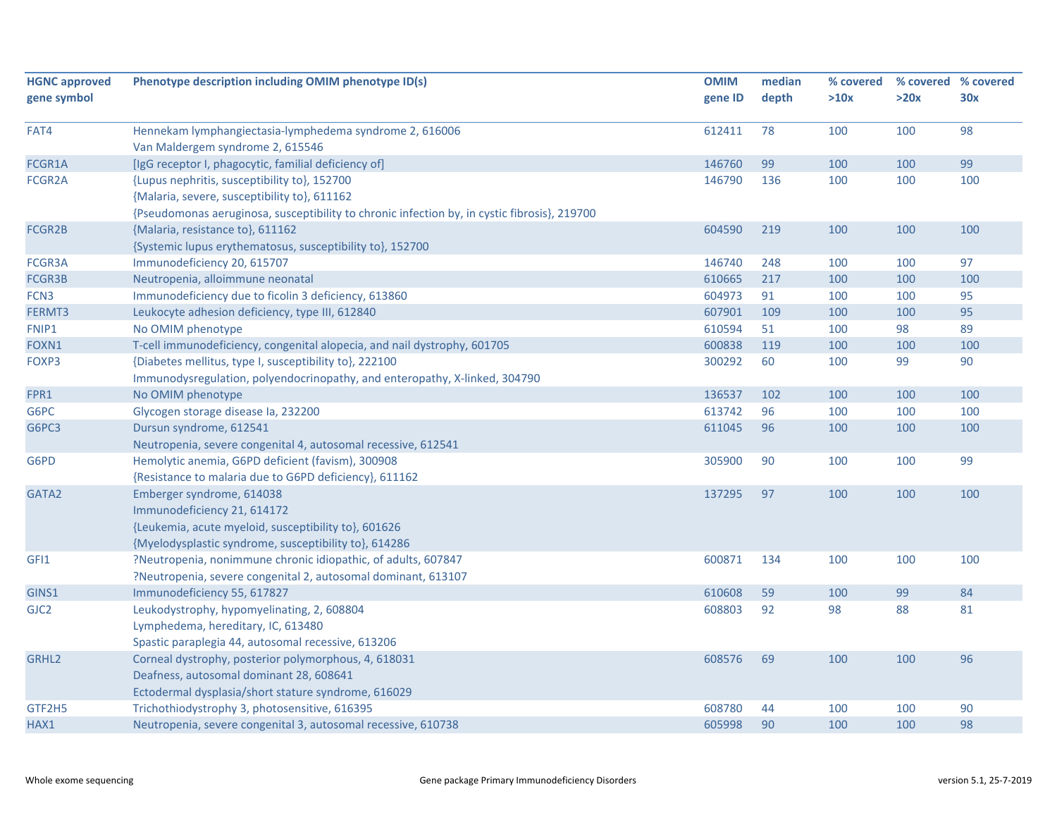| <b>HGNC approved</b> | Phenotype description including OMIM phenotype ID(s)                                         | <b>OMIM</b> | median | % covered | % covered % covered |     |
|----------------------|----------------------------------------------------------------------------------------------|-------------|--------|-----------|---------------------|-----|
| gene symbol          |                                                                                              | gene ID     | depth  | >10x      | >20x                | 30x |
|                      |                                                                                              |             |        |           |                     |     |
| FAT4                 | Hennekam lymphangiectasia-lymphedema syndrome 2, 616006                                      | 612411      | 78     | 100       | 100                 | 98  |
|                      | Van Maldergem syndrome 2, 615546                                                             |             |        |           |                     |     |
| FCGR1A               | [IgG receptor I, phagocytic, familial deficiency of]                                         | 146760      | 99     | 100       | 100                 | 99  |
| FCGR <sub>2</sub> A  | {Lupus nephritis, susceptibility to}, 152700                                                 | 146790      | 136    | 100       | 100                 | 100 |
|                      | {Malaria, severe, susceptibility to}, 611162                                                 |             |        |           |                     |     |
|                      | {Pseudomonas aeruginosa, susceptibility to chronic infection by, in cystic fibrosis}, 219700 |             |        |           |                     |     |
| FCGR2B               | {Malaria, resistance to}, 611162                                                             | 604590      | 219    | 100       | 100                 | 100 |
|                      | {Systemic lupus erythematosus, susceptibility to}, 152700                                    |             |        |           |                     |     |
| FCGR3A               | Immunodeficiency 20, 615707                                                                  | 146740      | 248    | 100       | 100                 | 97  |
| FCGR3B               | Neutropenia, alloimmune neonatal                                                             | 610665      | 217    | 100       | 100                 | 100 |
| FCN <sub>3</sub>     | Immunodeficiency due to ficolin 3 deficiency, 613860                                         | 604973      | 91     | 100       | 100                 | 95  |
| FERMT3               | Leukocyte adhesion deficiency, type III, 612840                                              | 607901      | 109    | 100       | 100                 | 95  |
| FNIP1                | No OMIM phenotype                                                                            | 610594      | 51     | 100       | 98                  | 89  |
| FOXN1                | T-cell immunodeficiency, congenital alopecia, and nail dystrophy, 601705                     | 600838      | 119    | 100       | 100                 | 100 |
| FOXP3                | {Diabetes mellitus, type I, susceptibility to}, 222100                                       | 300292      | 60     | 100       | 99                  | 90  |
|                      | Immunodysregulation, polyendocrinopathy, and enteropathy, X-linked, 304790                   |             |        |           |                     |     |
| FPR1                 | No OMIM phenotype                                                                            | 136537      | 102    | 100       | 100                 | 100 |
| G6PC                 | Glycogen storage disease la, 232200                                                          | 613742      | 96     | 100       | 100                 | 100 |
| G6PC3                | Dursun syndrome, 612541                                                                      | 611045      | 96     | 100       | 100                 | 100 |
|                      | Neutropenia, severe congenital 4, autosomal recessive, 612541                                |             |        |           |                     |     |
| G6PD                 | Hemolytic anemia, G6PD deficient (favism), 300908                                            | 305900      | 90     | 100       | 100                 | 99  |
|                      | {Resistance to malaria due to G6PD deficiency}, 611162                                       |             |        |           |                     |     |
| GATA2                | Emberger syndrome, 614038                                                                    | 137295      | 97     | 100       | 100                 | 100 |
|                      | Immunodeficiency 21, 614172                                                                  |             |        |           |                     |     |
|                      | {Leukemia, acute myeloid, susceptibility to}, 601626                                         |             |        |           |                     |     |
|                      | {Myelodysplastic syndrome, susceptibility to}, 614286                                        |             |        |           |                     |     |
| GFI1                 | ?Neutropenia, nonimmune chronic idiopathic, of adults, 607847                                | 600871      | 134    | 100       | 100                 | 100 |
|                      | ?Neutropenia, severe congenital 2, autosomal dominant, 613107                                |             |        |           |                     |     |
| GINS1                | Immunodeficiency 55, 617827                                                                  | 610608      | 59     | 100       | 99                  | 84  |
| GJC <sub>2</sub>     | Leukodystrophy, hypomyelinating, 2, 608804                                                   | 608803      | 92     | 98        | 88                  | 81  |
|                      | Lymphedema, hereditary, IC, 613480                                                           |             |        |           |                     |     |
|                      | Spastic paraplegia 44, autosomal recessive, 613206                                           |             |        |           |                     |     |
| GRHL <sub>2</sub>    | Corneal dystrophy, posterior polymorphous, 4, 618031                                         | 608576      | 69     | 100       | 100                 | 96  |
|                      | Deafness, autosomal dominant 28, 608641                                                      |             |        |           |                     |     |
|                      | Ectodermal dysplasia/short stature syndrome, 616029                                          |             |        |           |                     |     |
| GTF2H5               | Trichothiodystrophy 3, photosensitive, 616395                                                | 608780      | 44     | 100       | 100                 | 90  |
| HAX1                 | Neutropenia, severe congenital 3, autosomal recessive, 610738                                | 605998      | 90     | 100       | 100                 | 98  |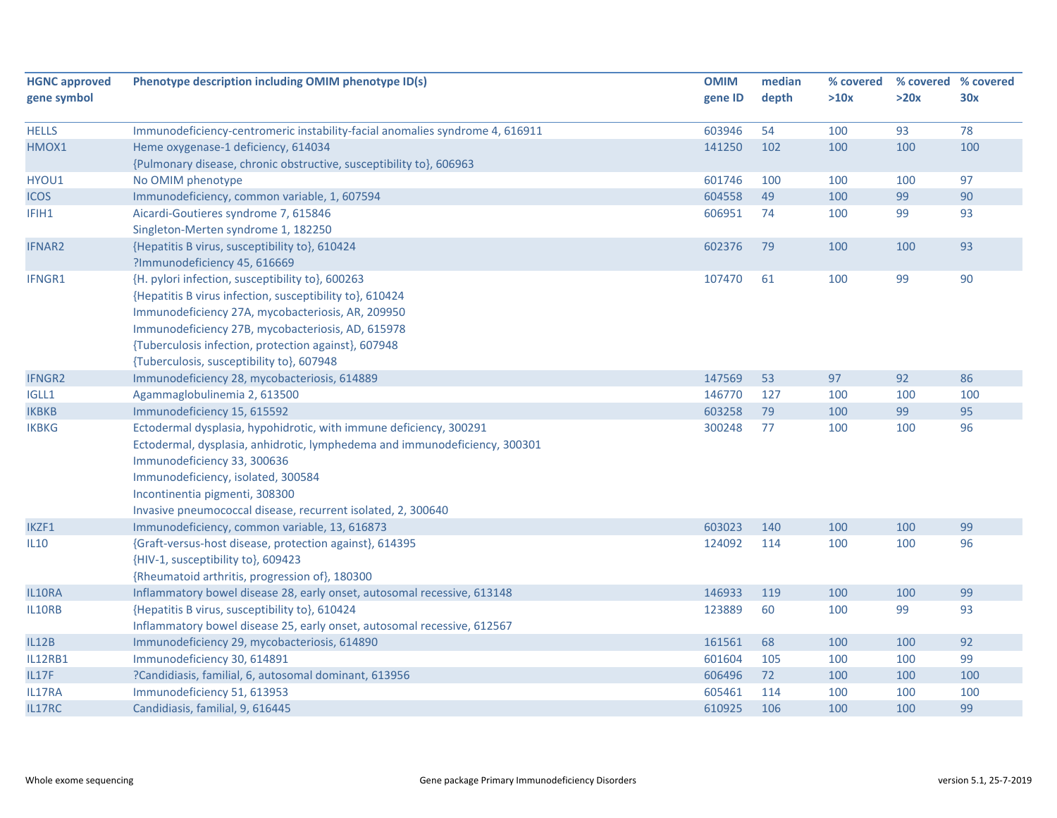| <b>HGNC approved</b>  | Phenotype description including OMIM phenotype ID(s)                                                                | <b>OMIM</b>      | median    | % covered  |           | % covered % covered |
|-----------------------|---------------------------------------------------------------------------------------------------------------------|------------------|-----------|------------|-----------|---------------------|
| gene symbol           |                                                                                                                     | gene ID          | depth     | >10x       | >20x      | 30x                 |
|                       |                                                                                                                     |                  |           |            |           | 78                  |
| <b>HELLS</b><br>HMOX1 | Immunodeficiency-centromeric instability-facial anomalies syndrome 4, 616911<br>Heme oxygenase-1 deficiency, 614034 | 603946<br>141250 | 54<br>102 | 100<br>100 | 93<br>100 | 100                 |
|                       | {Pulmonary disease, chronic obstructive, susceptibility to}, 606963                                                 |                  |           |            |           |                     |
| HYOU1                 | No OMIM phenotype                                                                                                   | 601746           | 100       | 100        | 100       | 97                  |
| <b>ICOS</b>           | Immunodeficiency, common variable, 1, 607594                                                                        | 604558           | 49        | 100        | 99        | 90                  |
| IFIH1                 | Aicardi-Goutieres syndrome 7, 615846                                                                                | 606951           | 74        | 100        | 99        | 93                  |
|                       | Singleton-Merten syndrome 1, 182250                                                                                 |                  |           |            |           |                     |
| <b>IFNAR2</b>         | {Hepatitis B virus, susceptibility to}, 610424                                                                      | 602376           | 79        | 100        | 100       | 93                  |
|                       | ?Immunodeficiency 45, 616669                                                                                        |                  |           |            |           |                     |
| IFNGR1                | {H. pylori infection, susceptibility to}, 600263                                                                    | 107470           | 61        | 100        | 99        | 90                  |
|                       | {Hepatitis B virus infection, susceptibility to}, 610424                                                            |                  |           |            |           |                     |
|                       | Immunodeficiency 27A, mycobacteriosis, AR, 209950                                                                   |                  |           |            |           |                     |
|                       | Immunodeficiency 27B, mycobacteriosis, AD, 615978                                                                   |                  |           |            |           |                     |
|                       | {Tuberculosis infection, protection against}, 607948                                                                |                  |           |            |           |                     |
|                       | {Tuberculosis, susceptibility to}, 607948                                                                           |                  |           |            |           |                     |
| <b>IFNGR2</b>         | Immunodeficiency 28, mycobacteriosis, 614889                                                                        | 147569           | 53        | 97         | 92        | 86                  |
| IGLL1                 | Agammaglobulinemia 2, 613500                                                                                        | 146770           | 127       | 100        | 100       | 100                 |
| <b>IKBKB</b>          | Immunodeficiency 15, 615592                                                                                         | 603258           | 79        | 100        | 99        | 95                  |
| <b>IKBKG</b>          | Ectodermal dysplasia, hypohidrotic, with immune deficiency, 300291                                                  | 300248           | 77        | 100        | 100       | 96                  |
|                       | Ectodermal, dysplasia, anhidrotic, lymphedema and immunodeficiency, 300301                                          |                  |           |            |           |                     |
|                       | Immunodeficiency 33, 300636                                                                                         |                  |           |            |           |                     |
|                       | Immunodeficiency, isolated, 300584                                                                                  |                  |           |            |           |                     |
|                       | Incontinentia pigmenti, 308300                                                                                      |                  |           |            |           |                     |
|                       | Invasive pneumococcal disease, recurrent isolated, 2, 300640                                                        |                  |           |            |           |                     |
| IKZF1                 | Immunodeficiency, common variable, 13, 616873                                                                       | 603023           | 140       | 100        | 100       | 99                  |
| IL10                  | {Graft-versus-host disease, protection against}, 614395                                                             | 124092           | 114       | 100        | 100       | 96                  |
|                       | {HIV-1, susceptibility to}, 609423                                                                                  |                  |           |            |           |                     |
|                       | {Rheumatoid arthritis, progression of}, 180300                                                                      |                  |           |            |           |                     |
| IL10RA                | Inflammatory bowel disease 28, early onset, autosomal recessive, 613148                                             | 146933           | 119       | 100        | 100       | 99                  |
| IL10RB                | {Hepatitis B virus, susceptibility to}, 610424                                                                      | 123889           | 60        | 100        | 99        | 93                  |
|                       | Inflammatory bowel disease 25, early onset, autosomal recessive, 612567                                             |                  |           |            |           |                     |
| <b>IL12B</b>          | Immunodeficiency 29, mycobacteriosis, 614890                                                                        | 161561           | 68        | 100        | 100       | 92                  |
| <b>IL12RB1</b>        | Immunodeficiency 30, 614891                                                                                         | 601604           | 105       | 100        | 100       | 99                  |
| <b>IL17F</b>          | ?Candidiasis, familial, 6, autosomal dominant, 613956                                                               | 606496           | 72        | 100        | 100       | 100                 |
| IL17RA                | Immunodeficiency 51, 613953                                                                                         | 605461           | 114       | 100        | 100       | 100                 |
| IL17RC                | Candidiasis, familial, 9, 616445                                                                                    | 610925           | 106       | 100        | 100       | 99                  |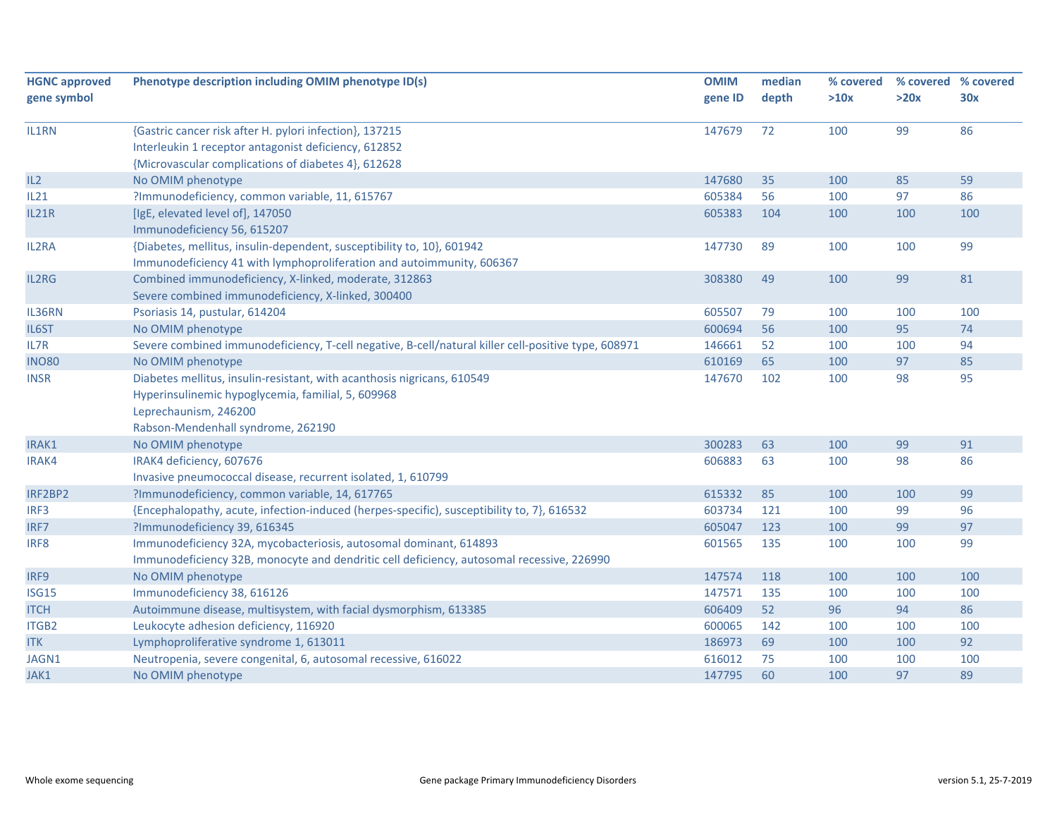| Phenotype description including OMIM phenotype ID(s)                                                | <b>OMIM</b>                                                                                                                                                                                                                                                                                                                                                                                                                                                                                                                                                                                                                                                                                                                                                                                                                                                                                                                                                                                                                                                                                                                                                                                           | median                                                                                                                         | % covered                                                          |                                                                                        | % covered % covered                                                 |
|-----------------------------------------------------------------------------------------------------|-------------------------------------------------------------------------------------------------------------------------------------------------------------------------------------------------------------------------------------------------------------------------------------------------------------------------------------------------------------------------------------------------------------------------------------------------------------------------------------------------------------------------------------------------------------------------------------------------------------------------------------------------------------------------------------------------------------------------------------------------------------------------------------------------------------------------------------------------------------------------------------------------------------------------------------------------------------------------------------------------------------------------------------------------------------------------------------------------------------------------------------------------------------------------------------------------------|--------------------------------------------------------------------------------------------------------------------------------|--------------------------------------------------------------------|----------------------------------------------------------------------------------------|---------------------------------------------------------------------|
|                                                                                                     | gene ID                                                                                                                                                                                                                                                                                                                                                                                                                                                                                                                                                                                                                                                                                                                                                                                                                                                                                                                                                                                                                                                                                                                                                                                               | depth                                                                                                                          | >10x                                                               | >20x                                                                                   | 30x                                                                 |
|                                                                                                     |                                                                                                                                                                                                                                                                                                                                                                                                                                                                                                                                                                                                                                                                                                                                                                                                                                                                                                                                                                                                                                                                                                                                                                                                       |                                                                                                                                |                                                                    |                                                                                        |                                                                     |
|                                                                                                     |                                                                                                                                                                                                                                                                                                                                                                                                                                                                                                                                                                                                                                                                                                                                                                                                                                                                                                                                                                                                                                                                                                                                                                                                       |                                                                                                                                |                                                                    |                                                                                        | 86                                                                  |
|                                                                                                     |                                                                                                                                                                                                                                                                                                                                                                                                                                                                                                                                                                                                                                                                                                                                                                                                                                                                                                                                                                                                                                                                                                                                                                                                       |                                                                                                                                |                                                                    |                                                                                        |                                                                     |
|                                                                                                     |                                                                                                                                                                                                                                                                                                                                                                                                                                                                                                                                                                                                                                                                                                                                                                                                                                                                                                                                                                                                                                                                                                                                                                                                       |                                                                                                                                |                                                                    |                                                                                        |                                                                     |
|                                                                                                     |                                                                                                                                                                                                                                                                                                                                                                                                                                                                                                                                                                                                                                                                                                                                                                                                                                                                                                                                                                                                                                                                                                                                                                                                       |                                                                                                                                |                                                                    |                                                                                        | 59                                                                  |
|                                                                                                     |                                                                                                                                                                                                                                                                                                                                                                                                                                                                                                                                                                                                                                                                                                                                                                                                                                                                                                                                                                                                                                                                                                                                                                                                       |                                                                                                                                |                                                                    |                                                                                        | 86                                                                  |
|                                                                                                     |                                                                                                                                                                                                                                                                                                                                                                                                                                                                                                                                                                                                                                                                                                                                                                                                                                                                                                                                                                                                                                                                                                                                                                                                       |                                                                                                                                |                                                                    |                                                                                        | 100                                                                 |
|                                                                                                     |                                                                                                                                                                                                                                                                                                                                                                                                                                                                                                                                                                                                                                                                                                                                                                                                                                                                                                                                                                                                                                                                                                                                                                                                       |                                                                                                                                |                                                                    |                                                                                        |                                                                     |
|                                                                                                     | 147730                                                                                                                                                                                                                                                                                                                                                                                                                                                                                                                                                                                                                                                                                                                                                                                                                                                                                                                                                                                                                                                                                                                                                                                                | 89                                                                                                                             | 100                                                                | 100                                                                                    | 99                                                                  |
| Immunodeficiency 41 with lymphoproliferation and autoimmunity, 606367                               |                                                                                                                                                                                                                                                                                                                                                                                                                                                                                                                                                                                                                                                                                                                                                                                                                                                                                                                                                                                                                                                                                                                                                                                                       |                                                                                                                                |                                                                    |                                                                                        |                                                                     |
| Combined immunodeficiency, X-linked, moderate, 312863                                               | 308380                                                                                                                                                                                                                                                                                                                                                                                                                                                                                                                                                                                                                                                                                                                                                                                                                                                                                                                                                                                                                                                                                                                                                                                                | 49                                                                                                                             | 100                                                                | 99                                                                                     | 81                                                                  |
| Severe combined immunodeficiency, X-linked, 300400                                                  |                                                                                                                                                                                                                                                                                                                                                                                                                                                                                                                                                                                                                                                                                                                                                                                                                                                                                                                                                                                                                                                                                                                                                                                                       |                                                                                                                                |                                                                    |                                                                                        |                                                                     |
| Psoriasis 14, pustular, 614204                                                                      | 605507                                                                                                                                                                                                                                                                                                                                                                                                                                                                                                                                                                                                                                                                                                                                                                                                                                                                                                                                                                                                                                                                                                                                                                                                | 79                                                                                                                             | 100                                                                | 100                                                                                    | 100                                                                 |
| No OMIM phenotype                                                                                   | 600694                                                                                                                                                                                                                                                                                                                                                                                                                                                                                                                                                                                                                                                                                                                                                                                                                                                                                                                                                                                                                                                                                                                                                                                                | 56                                                                                                                             | 100                                                                | 95                                                                                     | 74                                                                  |
| Severe combined immunodeficiency, T-cell negative, B-cell/natural killer cell-positive type, 608971 | 146661                                                                                                                                                                                                                                                                                                                                                                                                                                                                                                                                                                                                                                                                                                                                                                                                                                                                                                                                                                                                                                                                                                                                                                                                | 52                                                                                                                             | 100                                                                | 100                                                                                    | 94                                                                  |
| No OMIM phenotype                                                                                   | 610169                                                                                                                                                                                                                                                                                                                                                                                                                                                                                                                                                                                                                                                                                                                                                                                                                                                                                                                                                                                                                                                                                                                                                                                                | 65                                                                                                                             | 100                                                                | 97                                                                                     | 85                                                                  |
| Diabetes mellitus, insulin-resistant, with acanthosis nigricans, 610549                             | 147670                                                                                                                                                                                                                                                                                                                                                                                                                                                                                                                                                                                                                                                                                                                                                                                                                                                                                                                                                                                                                                                                                                                                                                                                | 102                                                                                                                            | 100                                                                | 98                                                                                     | 95                                                                  |
| Hyperinsulinemic hypoglycemia, familial, 5, 609968                                                  |                                                                                                                                                                                                                                                                                                                                                                                                                                                                                                                                                                                                                                                                                                                                                                                                                                                                                                                                                                                                                                                                                                                                                                                                       |                                                                                                                                |                                                                    |                                                                                        |                                                                     |
| Leprechaunism, 246200                                                                               |                                                                                                                                                                                                                                                                                                                                                                                                                                                                                                                                                                                                                                                                                                                                                                                                                                                                                                                                                                                                                                                                                                                                                                                                       |                                                                                                                                |                                                                    |                                                                                        |                                                                     |
|                                                                                                     |                                                                                                                                                                                                                                                                                                                                                                                                                                                                                                                                                                                                                                                                                                                                                                                                                                                                                                                                                                                                                                                                                                                                                                                                       |                                                                                                                                |                                                                    |                                                                                        |                                                                     |
|                                                                                                     | 300283                                                                                                                                                                                                                                                                                                                                                                                                                                                                                                                                                                                                                                                                                                                                                                                                                                                                                                                                                                                                                                                                                                                                                                                                | 63                                                                                                                             | 100                                                                | 99                                                                                     | 91                                                                  |
|                                                                                                     | 606883                                                                                                                                                                                                                                                                                                                                                                                                                                                                                                                                                                                                                                                                                                                                                                                                                                                                                                                                                                                                                                                                                                                                                                                                | 63                                                                                                                             | 100                                                                | 98                                                                                     | 86                                                                  |
|                                                                                                     |                                                                                                                                                                                                                                                                                                                                                                                                                                                                                                                                                                                                                                                                                                                                                                                                                                                                                                                                                                                                                                                                                                                                                                                                       |                                                                                                                                |                                                                    |                                                                                        |                                                                     |
|                                                                                                     | 615332                                                                                                                                                                                                                                                                                                                                                                                                                                                                                                                                                                                                                                                                                                                                                                                                                                                                                                                                                                                                                                                                                                                                                                                                | 85                                                                                                                             | 100                                                                | 100                                                                                    | 99                                                                  |
|                                                                                                     |                                                                                                                                                                                                                                                                                                                                                                                                                                                                                                                                                                                                                                                                                                                                                                                                                                                                                                                                                                                                                                                                                                                                                                                                       | 121                                                                                                                            |                                                                    |                                                                                        | 96                                                                  |
|                                                                                                     |                                                                                                                                                                                                                                                                                                                                                                                                                                                                                                                                                                                                                                                                                                                                                                                                                                                                                                                                                                                                                                                                                                                                                                                                       | 123                                                                                                                            |                                                                    | 99                                                                                     | 97                                                                  |
|                                                                                                     |                                                                                                                                                                                                                                                                                                                                                                                                                                                                                                                                                                                                                                                                                                                                                                                                                                                                                                                                                                                                                                                                                                                                                                                                       |                                                                                                                                |                                                                    | 100                                                                                    | 99                                                                  |
|                                                                                                     |                                                                                                                                                                                                                                                                                                                                                                                                                                                                                                                                                                                                                                                                                                                                                                                                                                                                                                                                                                                                                                                                                                                                                                                                       |                                                                                                                                |                                                                    |                                                                                        |                                                                     |
|                                                                                                     | 147574                                                                                                                                                                                                                                                                                                                                                                                                                                                                                                                                                                                                                                                                                                                                                                                                                                                                                                                                                                                                                                                                                                                                                                                                | 118                                                                                                                            | 100                                                                | 100                                                                                    | 100                                                                 |
|                                                                                                     |                                                                                                                                                                                                                                                                                                                                                                                                                                                                                                                                                                                                                                                                                                                                                                                                                                                                                                                                                                                                                                                                                                                                                                                                       |                                                                                                                                |                                                                    |                                                                                        | 100                                                                 |
|                                                                                                     |                                                                                                                                                                                                                                                                                                                                                                                                                                                                                                                                                                                                                                                                                                                                                                                                                                                                                                                                                                                                                                                                                                                                                                                                       |                                                                                                                                |                                                                    |                                                                                        | 86                                                                  |
|                                                                                                     |                                                                                                                                                                                                                                                                                                                                                                                                                                                                                                                                                                                                                                                                                                                                                                                                                                                                                                                                                                                                                                                                                                                                                                                                       |                                                                                                                                |                                                                    |                                                                                        | 100                                                                 |
|                                                                                                     |                                                                                                                                                                                                                                                                                                                                                                                                                                                                                                                                                                                                                                                                                                                                                                                                                                                                                                                                                                                                                                                                                                                                                                                                       |                                                                                                                                |                                                                    |                                                                                        | 92                                                                  |
|                                                                                                     |                                                                                                                                                                                                                                                                                                                                                                                                                                                                                                                                                                                                                                                                                                                                                                                                                                                                                                                                                                                                                                                                                                                                                                                                       |                                                                                                                                |                                                                    |                                                                                        | 100                                                                 |
|                                                                                                     |                                                                                                                                                                                                                                                                                                                                                                                                                                                                                                                                                                                                                                                                                                                                                                                                                                                                                                                                                                                                                                                                                                                                                                                                       |                                                                                                                                |                                                                    |                                                                                        | 89                                                                  |
|                                                                                                     | {Gastric cancer risk after H. pylori infection}, 137215<br>Interleukin 1 receptor antagonist deficiency, 612852<br>{Microvascular complications of diabetes 4}, 612628<br>No OMIM phenotype<br>?Immunodeficiency, common variable, 11, 615767<br>[IgE, elevated level of], 147050<br>Immunodeficiency 56, 615207<br>{Diabetes, mellitus, insulin-dependent, susceptibility to, 10}, 601942<br>Rabson-Mendenhall syndrome, 262190<br>No OMIM phenotype<br>IRAK4 deficiency, 607676<br>Invasive pneumococcal disease, recurrent isolated, 1, 610799<br>?Immunodeficiency, common variable, 14, 617765<br>{Encephalopathy, acute, infection-induced (herpes-specific), susceptibility to, 7}, 616532<br>?Immunodeficiency 39, 616345<br>Immunodeficiency 32A, mycobacteriosis, autosomal dominant, 614893<br>Immunodeficiency 32B, monocyte and dendritic cell deficiency, autosomal recessive, 226990<br>No OMIM phenotype<br>Immunodeficiency 38, 616126<br>Autoimmune disease, multisystem, with facial dysmorphism, 613385<br>Leukocyte adhesion deficiency, 116920<br>Lymphoproliferative syndrome 1, 613011<br>Neutropenia, severe congenital, 6, autosomal recessive, 616022<br>No OMIM phenotype | 147679<br>147680<br>605384<br>605383<br>603734<br>605047<br>601565<br>147571<br>606409<br>600065<br>186973<br>616012<br>147795 | 72<br>35<br>56<br>104<br>135<br>135<br>52<br>142<br>69<br>75<br>60 | 100<br>100<br>100<br>100<br>100<br>100<br>100<br>100<br>96<br>100<br>100<br>100<br>100 | 99<br>85<br>97<br>100<br>99<br>100<br>94<br>100<br>100<br>100<br>97 |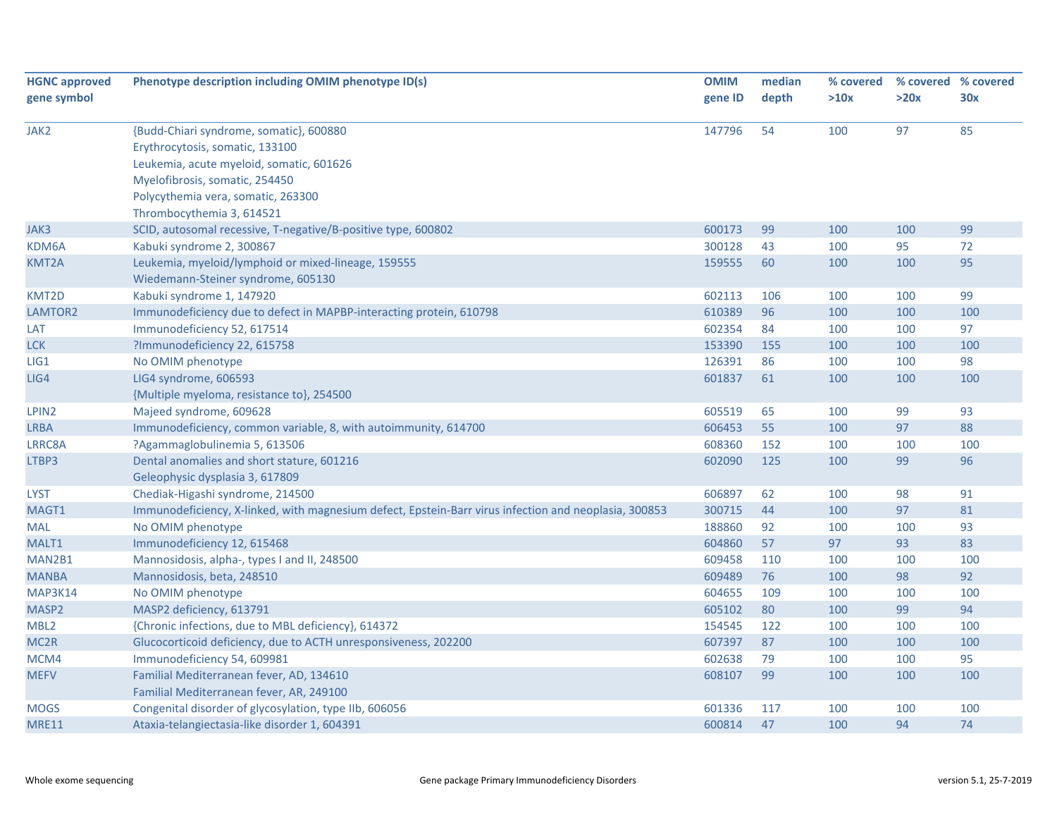| <b>HGNC approved</b> | Phenotype description including OMIM phenotype ID(s)                                                  | <b>OMIM</b> | median | % covered |      | % covered % covered |
|----------------------|-------------------------------------------------------------------------------------------------------|-------------|--------|-----------|------|---------------------|
| gene symbol          |                                                                                                       | gene ID     | depth  | >10x      | >20x | 30x                 |
|                      |                                                                                                       |             |        |           |      |                     |
| JAK2                 | {Budd-Chiari syndrome, somatic}, 600880                                                               | 147796      | 54     | 100       | 97   | 85                  |
|                      | Erythrocytosis, somatic, 133100                                                                       |             |        |           |      |                     |
|                      | Leukemia, acute myeloid, somatic, 601626                                                              |             |        |           |      |                     |
|                      | Myelofibrosis, somatic, 254450                                                                        |             |        |           |      |                     |
|                      | Polycythemia vera, somatic, 263300                                                                    |             |        |           |      |                     |
|                      | Thrombocythemia 3, 614521                                                                             |             |        |           |      |                     |
| JAK3                 | SCID, autosomal recessive, T-negative/B-positive type, 600802                                         | 600173      | 99     | 100       | 100  | 99                  |
| KDM6A                | Kabuki syndrome 2, 300867                                                                             | 300128      | 43     | 100       | 95   | 72                  |
| KMT2A                | Leukemia, myeloid/lymphoid or mixed-lineage, 159555                                                   | 159555      | 60     | 100       | 100  | 95                  |
|                      | Wiedemann-Steiner syndrome, 605130                                                                    |             |        |           |      |                     |
| KMT2D                | Kabuki syndrome 1, 147920                                                                             | 602113      | 106    | 100       | 100  | 99                  |
| LAMTOR2              | Immunodeficiency due to defect in MAPBP-interacting protein, 610798                                   | 610389      | 96     | 100       | 100  | 100                 |
| LAT                  | Immunodeficiency 52, 617514                                                                           | 602354      | 84     | 100       | 100  | 97                  |
| <b>LCK</b>           | ?Immunodeficiency 22, 615758                                                                          | 153390      | 155    | 100       | 100  | 100                 |
| LIG1                 | No OMIM phenotype                                                                                     | 126391      | 86     | 100       | 100  | 98                  |
| LIG4                 | LIG4 syndrome, 606593                                                                                 | 601837      | 61     | 100       | 100  | 100                 |
|                      | {Multiple myeloma, resistance to}, 254500                                                             |             |        |           |      |                     |
| LPIN2                | Majeed syndrome, 609628                                                                               | 605519      | 65     | 100       | 99   | 93                  |
| <b>LRBA</b>          | Immunodeficiency, common variable, 8, with autoimmunity, 614700                                       | 606453      | 55     | 100       | 97   | 88                  |
| LRRC8A               | ?Agammaglobulinemia 5, 613506                                                                         | 608360      | 152    | 100       | 100  | 100                 |
| LTBP3                | Dental anomalies and short stature, 601216                                                            | 602090      | 125    | 100       | 99   | 96                  |
|                      | Geleophysic dysplasia 3, 617809                                                                       |             |        |           |      |                     |
| <b>LYST</b>          | Chediak-Higashi syndrome, 214500                                                                      | 606897      | 62     | 100       | 98   | 91                  |
| MAGT1                | Immunodeficiency, X-linked, with magnesium defect, Epstein-Barr virus infection and neoplasia, 300853 | 300715      | 44     | 100       | 97   | 81                  |
| <b>MAL</b>           | No OMIM phenotype                                                                                     | 188860      | 92     | 100       | 100  | 93                  |
| MALT1                | Immunodeficiency 12, 615468                                                                           | 604860      | 57     | 97        | 93   | 83                  |
| MAN2B1               | Mannosidosis, alpha-, types I and II, 248500                                                          | 609458      | 110    | 100       | 100  | 100                 |
| <b>MANBA</b>         | Mannosidosis, beta, 248510                                                                            | 609489      | 76     | 100       | 98   | 92                  |
| MAP3K14              | No OMIM phenotype                                                                                     | 604655      | 109    | 100       | 100  | 100                 |
| MASP2                | MASP2 deficiency, 613791                                                                              | 605102      | 80     | 100       | 99   | 94                  |
| MBL <sub>2</sub>     | {Chronic infections, due to MBL deficiency}, 614372                                                   | 154545      | 122    | 100       | 100  | 100                 |
| MC <sub>2R</sub>     | Glucocorticoid deficiency, due to ACTH unresponsiveness, 202200                                       | 607397      | 87     | 100       | 100  | 100                 |
| MCM4                 | Immunodeficiency 54, 609981                                                                           | 602638      | 79     | 100       | 100  | 95                  |
| <b>MEFV</b>          | Familial Mediterranean fever, AD, 134610                                                              | 608107      | 99     | 100       | 100  | 100                 |
|                      | Familial Mediterranean fever, AR, 249100                                                              |             |        |           |      |                     |
| <b>MOGS</b>          | Congenital disorder of glycosylation, type IIb, 606056                                                | 601336      | 117    | 100       | 100  | 100                 |
| <b>MRE11</b>         | Ataxia-telangiectasia-like disorder 1, 604391                                                         | 600814      | 47     | 100       | 94   | 74                  |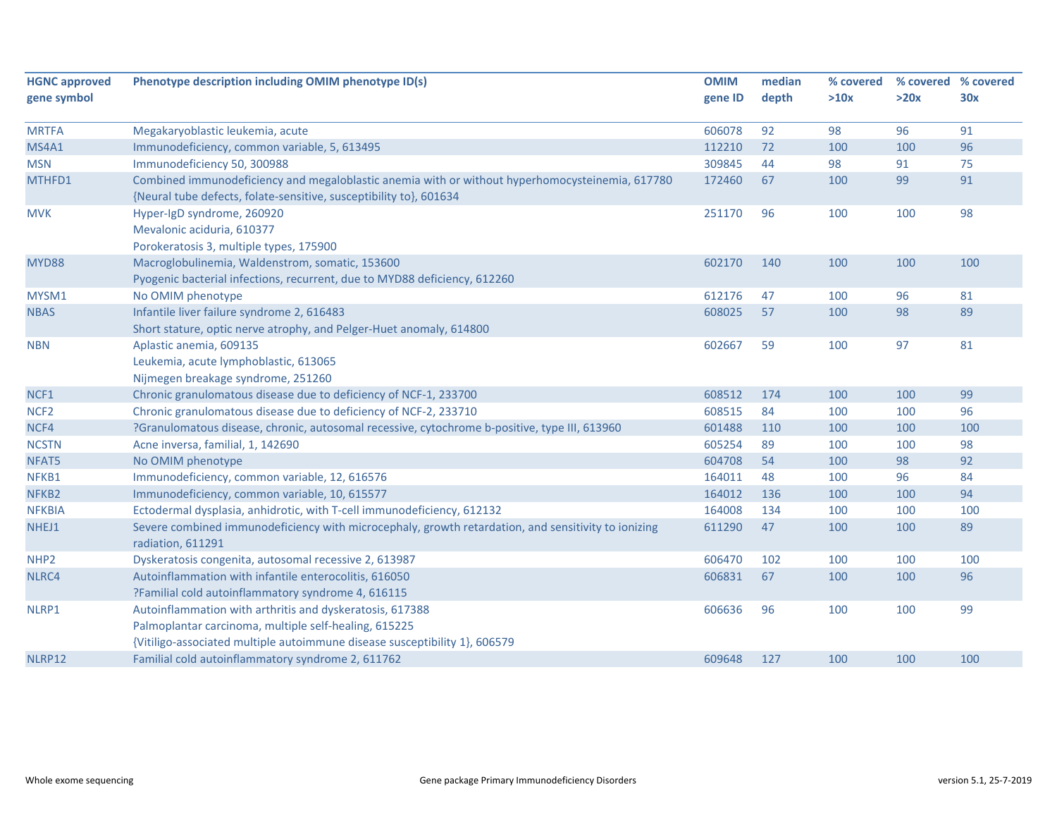| <b>HGNC approved</b> | Phenotype description including OMIM phenotype ID(s)                                                | <b>OMIM</b> | median | % covered | % covered % covered |     |
|----------------------|-----------------------------------------------------------------------------------------------------|-------------|--------|-----------|---------------------|-----|
| gene symbol          |                                                                                                     | gene ID     | depth  | >10x      | >20x                | 30x |
|                      |                                                                                                     |             |        |           |                     |     |
| <b>MRTFA</b>         | Megakaryoblastic leukemia, acute                                                                    | 606078      | 92     | 98        | 96                  | 91  |
| MS4A1                | Immunodeficiency, common variable, 5, 613495                                                        | 112210      | 72     | 100       | 100                 | 96  |
| <b>MSN</b>           | Immunodeficiency 50, 300988                                                                         | 309845      | 44     | 98        | 91                  | 75  |
| MTHFD1               | Combined immunodeficiency and megaloblastic anemia with or without hyperhomocysteinemia, 617780     | 172460      | 67     | 100       | 99                  | 91  |
|                      | {Neural tube defects, folate-sensitive, susceptibility to}, 601634                                  |             |        |           |                     |     |
| <b>MVK</b>           | Hyper-IgD syndrome, 260920                                                                          | 251170      | 96     | 100       | 100                 | 98  |
|                      | Mevalonic aciduria, 610377                                                                          |             |        |           |                     |     |
|                      | Porokeratosis 3, multiple types, 175900                                                             |             |        |           |                     |     |
| MYD88                | Macroglobulinemia, Waldenstrom, somatic, 153600                                                     | 602170      | 140    | 100       | 100                 | 100 |
|                      | Pyogenic bacterial infections, recurrent, due to MYD88 deficiency, 612260                           |             |        |           |                     |     |
| MYSM1                | No OMIM phenotype                                                                                   | 612176      | 47     | 100       | 96                  | 81  |
| <b>NBAS</b>          | Infantile liver failure syndrome 2, 616483                                                          | 608025      | 57     | 100       | 98                  | 89  |
|                      | Short stature, optic nerve atrophy, and Pelger-Huet anomaly, 614800                                 |             |        |           |                     |     |
| <b>NBN</b>           | Aplastic anemia, 609135                                                                             | 602667      | 59     | 100       | 97                  | 81  |
|                      | Leukemia, acute lymphoblastic, 613065                                                               |             |        |           |                     |     |
|                      | Nijmegen breakage syndrome, 251260                                                                  |             |        |           |                     |     |
| NCF1                 | Chronic granulomatous disease due to deficiency of NCF-1, 233700                                    | 608512      | 174    | 100       | 100                 | 99  |
| NCF <sub>2</sub>     | Chronic granulomatous disease due to deficiency of NCF-2, 233710                                    | 608515      | 84     | 100       | 100                 | 96  |
| NCF4                 | ?Granulomatous disease, chronic, autosomal recessive, cytochrome b-positive, type III, 613960       | 601488      | 110    | 100       | 100                 | 100 |
| <b>NCSTN</b>         | Acne inversa, familial, 1, 142690                                                                   | 605254      | 89     | 100       | 100                 | 98  |
| NFAT5                | No OMIM phenotype                                                                                   | 604708      | 54     | 100       | 98                  | 92  |
| NFKB1                | Immunodeficiency, common variable, 12, 616576                                                       | 164011      | 48     | 100       | 96                  | 84  |
| NFKB <sub>2</sub>    | Immunodeficiency, common variable, 10, 615577                                                       | 164012      | 136    | 100       | 100                 | 94  |
| <b>NFKBIA</b>        | Ectodermal dysplasia, anhidrotic, with T-cell immunodeficiency, 612132                              | 164008      | 134    | 100       | 100                 | 100 |
| NHEJ1                | Severe combined immunodeficiency with microcephaly, growth retardation, and sensitivity to ionizing | 611290      | 47     | 100       | 100                 | 89  |
|                      | radiation, 611291                                                                                   |             |        |           |                     |     |
| NHP <sub>2</sub>     | Dyskeratosis congenita, autosomal recessive 2, 613987                                               | 606470      | 102    | 100       | 100                 | 100 |
| NLRC4                | Autoinflammation with infantile enterocolitis, 616050                                               | 606831      | 67     | 100       | 100                 | 96  |
|                      | ?Familial cold autoinflammatory syndrome 4, 616115                                                  |             |        |           |                     |     |
| NLRP1                | Autoinflammation with arthritis and dyskeratosis, 617388                                            | 606636      | 96     | 100       | 100                 | 99  |
|                      | Palmoplantar carcinoma, multiple self-healing, 615225                                               |             |        |           |                     |     |
|                      | {Vitiligo-associated multiple autoimmune disease susceptibility 1}, 606579                          |             |        |           |                     |     |
| NLRP12               | Familial cold autoinflammatory syndrome 2, 611762                                                   | 609648      | 127    | 100       | 100                 | 100 |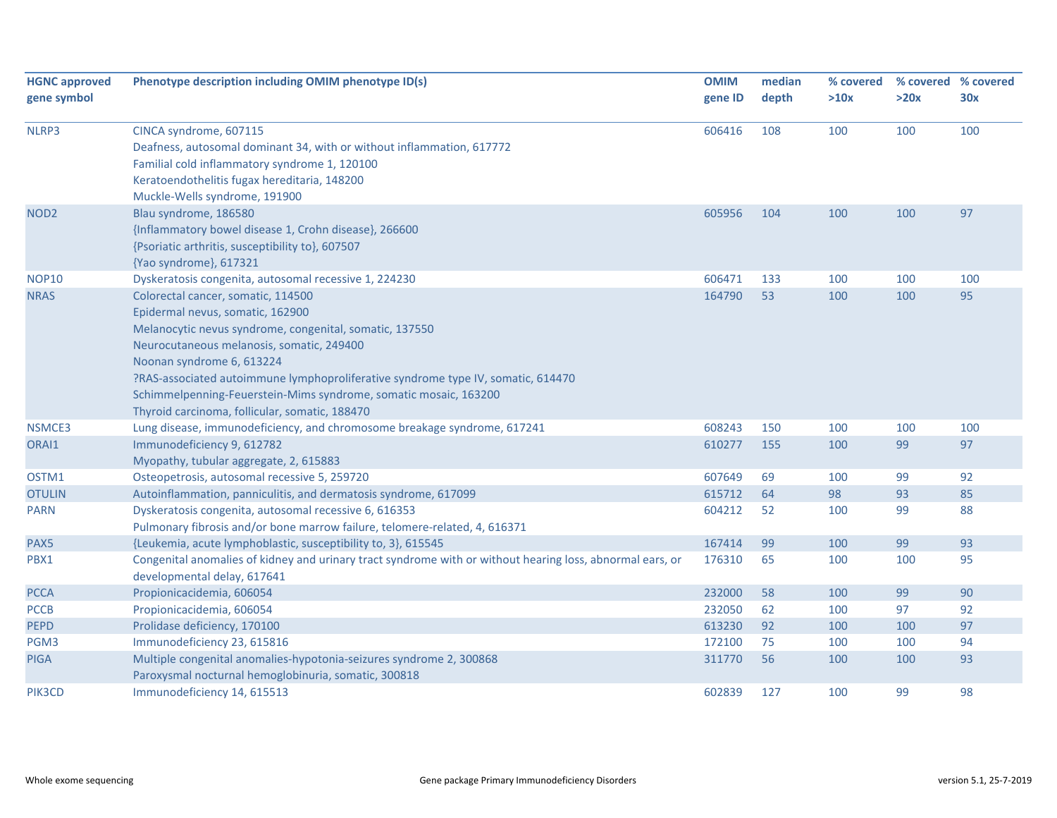| <b>HGNC approved</b> | Phenotype description including OMIM phenotype ID(s)                                                      | <b>OMIM</b> | median | % covered |      | % covered % covered |
|----------------------|-----------------------------------------------------------------------------------------------------------|-------------|--------|-----------|------|---------------------|
| gene symbol          |                                                                                                           | gene ID     | depth  | >10x      | >20x | 30x                 |
|                      |                                                                                                           |             |        |           |      |                     |
| NLRP3                | CINCA syndrome, 607115                                                                                    | 606416      | 108    | 100       | 100  | 100                 |
|                      | Deafness, autosomal dominant 34, with or without inflammation, 617772                                     |             |        |           |      |                     |
|                      | Familial cold inflammatory syndrome 1, 120100                                                             |             |        |           |      |                     |
|                      | Keratoendothelitis fugax hereditaria, 148200                                                              |             |        |           |      |                     |
|                      | Muckle-Wells syndrome, 191900                                                                             |             |        |           |      |                     |
| NOD <sub>2</sub>     | Blau syndrome, 186580                                                                                     | 605956      | 104    | 100       | 100  | 97                  |
|                      | {Inflammatory bowel disease 1, Crohn disease}, 266600                                                     |             |        |           |      |                     |
|                      | {Psoriatic arthritis, susceptibility to}, 607507                                                          |             |        |           |      |                     |
|                      | {Yao syndrome}, 617321                                                                                    |             |        |           |      |                     |
| <b>NOP10</b>         | Dyskeratosis congenita, autosomal recessive 1, 224230                                                     | 606471      | 133    | 100       | 100  | 100                 |
| <b>NRAS</b>          | Colorectal cancer, somatic, 114500                                                                        | 164790      | 53     | 100       | 100  | 95                  |
|                      | Epidermal nevus, somatic, 162900                                                                          |             |        |           |      |                     |
|                      | Melanocytic nevus syndrome, congenital, somatic, 137550                                                   |             |        |           |      |                     |
|                      | Neurocutaneous melanosis, somatic, 249400                                                                 |             |        |           |      |                     |
|                      | Noonan syndrome 6, 613224                                                                                 |             |        |           |      |                     |
|                      | ?RAS-associated autoimmune lymphoproliferative syndrome type IV, somatic, 614470                          |             |        |           |      |                     |
|                      | Schimmelpenning-Feuerstein-Mims syndrome, somatic mosaic, 163200                                          |             |        |           |      |                     |
|                      | Thyroid carcinoma, follicular, somatic, 188470                                                            |             |        |           |      |                     |
| NSMCE3               | Lung disease, immunodeficiency, and chromosome breakage syndrome, 617241                                  | 608243      | 150    | 100       | 100  | 100                 |
| ORAI1                | Immunodeficiency 9, 612782                                                                                | 610277      | 155    | 100       | 99   | 97                  |
|                      | Myopathy, tubular aggregate, 2, 615883                                                                    |             |        |           |      |                     |
| OSTM1                | Osteopetrosis, autosomal recessive 5, 259720                                                              | 607649      | 69     | 100       | 99   | 92                  |
| <b>OTULIN</b>        | Autoinflammation, panniculitis, and dermatosis syndrome, 617099                                           | 615712      | 64     | 98        | 93   | 85                  |
| <b>PARN</b>          | Dyskeratosis congenita, autosomal recessive 6, 616353                                                     | 604212      | 52     | 100       | 99   | 88                  |
|                      | Pulmonary fibrosis and/or bone marrow failure, telomere-related, 4, 616371                                |             |        |           |      |                     |
| PAX5                 | {Leukemia, acute lymphoblastic, susceptibility to, 3}, 615545                                             | 167414      | 99     | 100       | 99   | 93                  |
| PBX1                 | Congenital anomalies of kidney and urinary tract syndrome with or without hearing loss, abnormal ears, or | 176310      | 65     | 100       | 100  | 95                  |
|                      | developmental delay, 617641                                                                               |             |        |           |      |                     |
| <b>PCCA</b>          | Propionicacidemia, 606054                                                                                 | 232000      | 58     | 100       | 99   | 90                  |
| <b>PCCB</b>          | Propionicacidemia, 606054                                                                                 | 232050      | 62     | 100       | 97   | 92                  |
| <b>PEPD</b>          | Prolidase deficiency, 170100                                                                              | 613230      | 92     | 100       | 100  | 97                  |
| PGM3                 | Immunodeficiency 23, 615816                                                                               | 172100      | 75     | 100       | 100  | 94                  |
| <b>PIGA</b>          | Multiple congenital anomalies-hypotonia-seizures syndrome 2, 300868                                       | 311770      | 56     | 100       | 100  | 93                  |
|                      | Paroxysmal nocturnal hemoglobinuria, somatic, 300818                                                      |             |        |           |      |                     |
| PIK3CD               | Immunodeficiency 14, 615513                                                                               | 602839      | 127    | 100       | 99   | 98                  |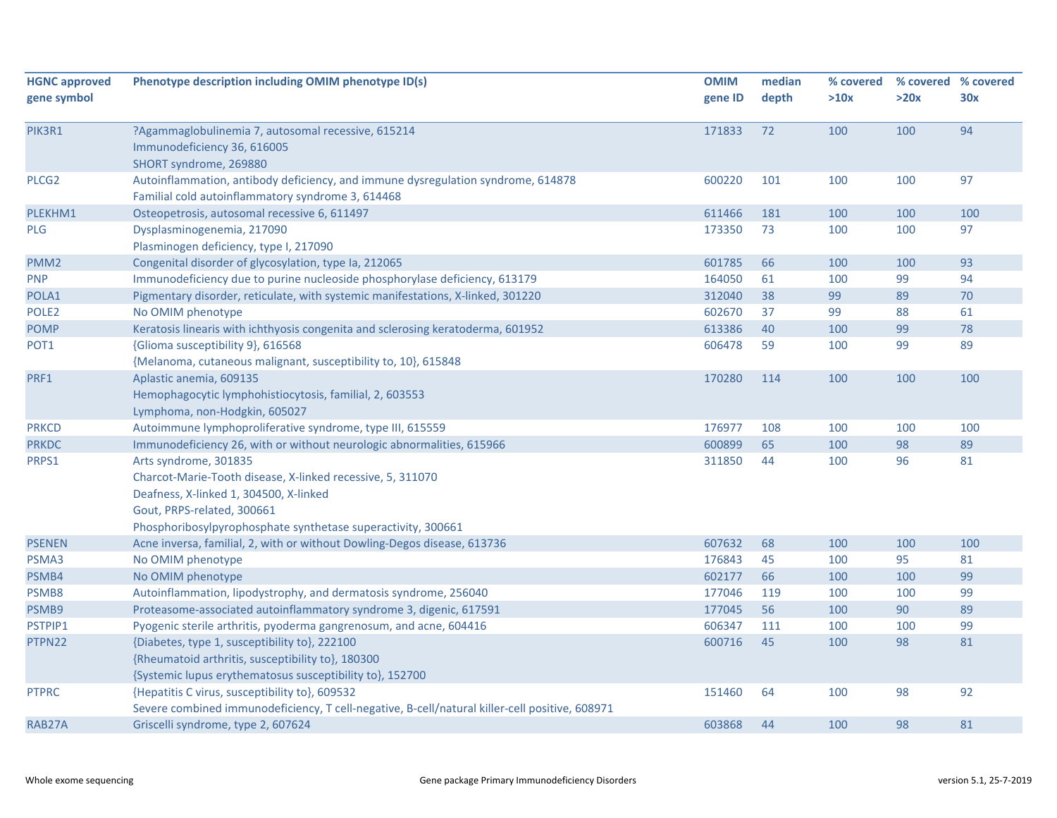| depth<br>>20x<br>gene ID<br>>10x<br>30x<br>94<br>PIK3R1<br>?Agammaglobulinemia 7, autosomal recessive, 615214<br>171833<br>72<br>100<br>100<br>Immunodeficiency 36, 616005<br>SHORT syndrome, 269880<br>Autoinflammation, antibody deficiency, and immune dysregulation syndrome, 614878<br>97<br>PLCG <sub>2</sub><br>600220<br>101<br>100<br>100<br>Familial cold autoinflammatory syndrome 3, 614468<br>Osteopetrosis, autosomal recessive 6, 611497<br>PLEKHM1<br>611466<br>181<br>100<br>100<br>100<br>Dysplasminogenemia, 217090<br>173350<br>73<br>100<br>100<br>97<br>Plasminogen deficiency, type I, 217090<br>Congenital disorder of glycosylation, type Ia, 212065<br>601785<br>66<br>100<br>100<br>93<br>Immunodeficiency due to purine nucleoside phosphorylase deficiency, 613179<br>164050<br>100<br>99<br>94<br>61<br>Pigmentary disorder, reticulate, with systemic manifestations, X-linked, 301220<br>312040<br>38<br>89<br>70<br>99<br>88<br>No OMIM phenotype<br>602670<br>37<br>99<br>61<br>99<br>78<br>Keratosis linearis with ichthyosis congenita and sclerosing keratoderma, 601952<br>613386<br>40<br>100<br>606478<br>{Glioma susceptibility 9}, 616568<br>59<br>100<br>99<br>89<br>{Melanoma, cutaneous malignant, susceptibility to, 10}, 615848<br>170280<br>100<br>100<br>Aplastic anemia, 609135<br>114<br>100<br>Hemophagocytic lymphohistiocytosis, familial, 2, 603553<br>Lymphoma, non-Hodgkin, 605027<br>Autoimmune lymphoproliferative syndrome, type III, 615559<br>176977<br>100<br>108<br>100<br>100<br>Immunodeficiency 26, with or without neurologic abnormalities, 615966<br>65<br>98<br>89<br>600899<br>100<br>Arts syndrome, 301835<br>311850<br>44<br>96<br>81<br>100<br>Charcot-Marie-Tooth disease, X-linked recessive, 5, 311070<br>Deafness, X-linked 1, 304500, X-linked<br>Gout, PRPS-related, 300661<br>Phosphoribosylpyrophosphate synthetase superactivity, 300661<br>100<br>Acne inversa, familial, 2, with or without Dowling-Degos disease, 613736<br>607632<br>68<br>100<br>100<br>45<br>No OMIM phenotype<br>176843<br>100<br>95<br>81<br>No OMIM phenotype<br>602177<br>66<br>100<br>99<br>100<br>Autoinflammation, lipodystrophy, and dermatosis syndrome, 256040<br>177046<br>119<br>99<br>100<br>100 | <b>HGNC approved</b> | Phenotype description including OMIM phenotype ID(s)               | <b>OMIM</b> | median | % covered | % covered % covered |    |
|-------------------------------------------------------------------------------------------------------------------------------------------------------------------------------------------------------------------------------------------------------------------------------------------------------------------------------------------------------------------------------------------------------------------------------------------------------------------------------------------------------------------------------------------------------------------------------------------------------------------------------------------------------------------------------------------------------------------------------------------------------------------------------------------------------------------------------------------------------------------------------------------------------------------------------------------------------------------------------------------------------------------------------------------------------------------------------------------------------------------------------------------------------------------------------------------------------------------------------------------------------------------------------------------------------------------------------------------------------------------------------------------------------------------------------------------------------------------------------------------------------------------------------------------------------------------------------------------------------------------------------------------------------------------------------------------------------------------------------------------------------------------------------------------------------------------------------------------------------------------------------------------------------------------------------------------------------------------------------------------------------------------------------------------------------------------------------------------------------------------------------------------------------------------------------------------------------------------------------------------------------------------------|----------------------|--------------------------------------------------------------------|-------------|--------|-----------|---------------------|----|
|                                                                                                                                                                                                                                                                                                                                                                                                                                                                                                                                                                                                                                                                                                                                                                                                                                                                                                                                                                                                                                                                                                                                                                                                                                                                                                                                                                                                                                                                                                                                                                                                                                                                                                                                                                                                                                                                                                                                                                                                                                                                                                                                                                                                                                                                         | gene symbol          |                                                                    |             |        |           |                     |    |
|                                                                                                                                                                                                                                                                                                                                                                                                                                                                                                                                                                                                                                                                                                                                                                                                                                                                                                                                                                                                                                                                                                                                                                                                                                                                                                                                                                                                                                                                                                                                                                                                                                                                                                                                                                                                                                                                                                                                                                                                                                                                                                                                                                                                                                                                         |                      |                                                                    |             |        |           |                     |    |
|                                                                                                                                                                                                                                                                                                                                                                                                                                                                                                                                                                                                                                                                                                                                                                                                                                                                                                                                                                                                                                                                                                                                                                                                                                                                                                                                                                                                                                                                                                                                                                                                                                                                                                                                                                                                                                                                                                                                                                                                                                                                                                                                                                                                                                                                         |                      |                                                                    |             |        |           |                     |    |
|                                                                                                                                                                                                                                                                                                                                                                                                                                                                                                                                                                                                                                                                                                                                                                                                                                                                                                                                                                                                                                                                                                                                                                                                                                                                                                                                                                                                                                                                                                                                                                                                                                                                                                                                                                                                                                                                                                                                                                                                                                                                                                                                                                                                                                                                         |                      |                                                                    |             |        |           |                     |    |
|                                                                                                                                                                                                                                                                                                                                                                                                                                                                                                                                                                                                                                                                                                                                                                                                                                                                                                                                                                                                                                                                                                                                                                                                                                                                                                                                                                                                                                                                                                                                                                                                                                                                                                                                                                                                                                                                                                                                                                                                                                                                                                                                                                                                                                                                         |                      |                                                                    |             |        |           |                     |    |
|                                                                                                                                                                                                                                                                                                                                                                                                                                                                                                                                                                                                                                                                                                                                                                                                                                                                                                                                                                                                                                                                                                                                                                                                                                                                                                                                                                                                                                                                                                                                                                                                                                                                                                                                                                                                                                                                                                                                                                                                                                                                                                                                                                                                                                                                         |                      |                                                                    |             |        |           |                     |    |
|                                                                                                                                                                                                                                                                                                                                                                                                                                                                                                                                                                                                                                                                                                                                                                                                                                                                                                                                                                                                                                                                                                                                                                                                                                                                                                                                                                                                                                                                                                                                                                                                                                                                                                                                                                                                                                                                                                                                                                                                                                                                                                                                                                                                                                                                         |                      |                                                                    |             |        |           |                     |    |
|                                                                                                                                                                                                                                                                                                                                                                                                                                                                                                                                                                                                                                                                                                                                                                                                                                                                                                                                                                                                                                                                                                                                                                                                                                                                                                                                                                                                                                                                                                                                                                                                                                                                                                                                                                                                                                                                                                                                                                                                                                                                                                                                                                                                                                                                         |                      |                                                                    |             |        |           |                     |    |
|                                                                                                                                                                                                                                                                                                                                                                                                                                                                                                                                                                                                                                                                                                                                                                                                                                                                                                                                                                                                                                                                                                                                                                                                                                                                                                                                                                                                                                                                                                                                                                                                                                                                                                                                                                                                                                                                                                                                                                                                                                                                                                                                                                                                                                                                         | <b>PLG</b>           |                                                                    |             |        |           |                     |    |
|                                                                                                                                                                                                                                                                                                                                                                                                                                                                                                                                                                                                                                                                                                                                                                                                                                                                                                                                                                                                                                                                                                                                                                                                                                                                                                                                                                                                                                                                                                                                                                                                                                                                                                                                                                                                                                                                                                                                                                                                                                                                                                                                                                                                                                                                         |                      |                                                                    |             |        |           |                     |    |
|                                                                                                                                                                                                                                                                                                                                                                                                                                                                                                                                                                                                                                                                                                                                                                                                                                                                                                                                                                                                                                                                                                                                                                                                                                                                                                                                                                                                                                                                                                                                                                                                                                                                                                                                                                                                                                                                                                                                                                                                                                                                                                                                                                                                                                                                         | PMM <sub>2</sub>     |                                                                    |             |        |           |                     |    |
|                                                                                                                                                                                                                                                                                                                                                                                                                                                                                                                                                                                                                                                                                                                                                                                                                                                                                                                                                                                                                                                                                                                                                                                                                                                                                                                                                                                                                                                                                                                                                                                                                                                                                                                                                                                                                                                                                                                                                                                                                                                                                                                                                                                                                                                                         | <b>PNP</b>           |                                                                    |             |        |           |                     |    |
|                                                                                                                                                                                                                                                                                                                                                                                                                                                                                                                                                                                                                                                                                                                                                                                                                                                                                                                                                                                                                                                                                                                                                                                                                                                                                                                                                                                                                                                                                                                                                                                                                                                                                                                                                                                                                                                                                                                                                                                                                                                                                                                                                                                                                                                                         | POLA1                |                                                                    |             |        |           |                     |    |
|                                                                                                                                                                                                                                                                                                                                                                                                                                                                                                                                                                                                                                                                                                                                                                                                                                                                                                                                                                                                                                                                                                                                                                                                                                                                                                                                                                                                                                                                                                                                                                                                                                                                                                                                                                                                                                                                                                                                                                                                                                                                                                                                                                                                                                                                         | POLE <sub>2</sub>    |                                                                    |             |        |           |                     |    |
|                                                                                                                                                                                                                                                                                                                                                                                                                                                                                                                                                                                                                                                                                                                                                                                                                                                                                                                                                                                                                                                                                                                                                                                                                                                                                                                                                                                                                                                                                                                                                                                                                                                                                                                                                                                                                                                                                                                                                                                                                                                                                                                                                                                                                                                                         | <b>POMP</b>          |                                                                    |             |        |           |                     |    |
|                                                                                                                                                                                                                                                                                                                                                                                                                                                                                                                                                                                                                                                                                                                                                                                                                                                                                                                                                                                                                                                                                                                                                                                                                                                                                                                                                                                                                                                                                                                                                                                                                                                                                                                                                                                                                                                                                                                                                                                                                                                                                                                                                                                                                                                                         | POT1                 |                                                                    |             |        |           |                     |    |
|                                                                                                                                                                                                                                                                                                                                                                                                                                                                                                                                                                                                                                                                                                                                                                                                                                                                                                                                                                                                                                                                                                                                                                                                                                                                                                                                                                                                                                                                                                                                                                                                                                                                                                                                                                                                                                                                                                                                                                                                                                                                                                                                                                                                                                                                         |                      |                                                                    |             |        |           |                     |    |
|                                                                                                                                                                                                                                                                                                                                                                                                                                                                                                                                                                                                                                                                                                                                                                                                                                                                                                                                                                                                                                                                                                                                                                                                                                                                                                                                                                                                                                                                                                                                                                                                                                                                                                                                                                                                                                                                                                                                                                                                                                                                                                                                                                                                                                                                         | PRF1                 |                                                                    |             |        |           |                     |    |
|                                                                                                                                                                                                                                                                                                                                                                                                                                                                                                                                                                                                                                                                                                                                                                                                                                                                                                                                                                                                                                                                                                                                                                                                                                                                                                                                                                                                                                                                                                                                                                                                                                                                                                                                                                                                                                                                                                                                                                                                                                                                                                                                                                                                                                                                         |                      |                                                                    |             |        |           |                     |    |
|                                                                                                                                                                                                                                                                                                                                                                                                                                                                                                                                                                                                                                                                                                                                                                                                                                                                                                                                                                                                                                                                                                                                                                                                                                                                                                                                                                                                                                                                                                                                                                                                                                                                                                                                                                                                                                                                                                                                                                                                                                                                                                                                                                                                                                                                         |                      |                                                                    |             |        |           |                     |    |
|                                                                                                                                                                                                                                                                                                                                                                                                                                                                                                                                                                                                                                                                                                                                                                                                                                                                                                                                                                                                                                                                                                                                                                                                                                                                                                                                                                                                                                                                                                                                                                                                                                                                                                                                                                                                                                                                                                                                                                                                                                                                                                                                                                                                                                                                         | <b>PRKCD</b>         |                                                                    |             |        |           |                     |    |
|                                                                                                                                                                                                                                                                                                                                                                                                                                                                                                                                                                                                                                                                                                                                                                                                                                                                                                                                                                                                                                                                                                                                                                                                                                                                                                                                                                                                                                                                                                                                                                                                                                                                                                                                                                                                                                                                                                                                                                                                                                                                                                                                                                                                                                                                         | <b>PRKDC</b>         |                                                                    |             |        |           |                     |    |
|                                                                                                                                                                                                                                                                                                                                                                                                                                                                                                                                                                                                                                                                                                                                                                                                                                                                                                                                                                                                                                                                                                                                                                                                                                                                                                                                                                                                                                                                                                                                                                                                                                                                                                                                                                                                                                                                                                                                                                                                                                                                                                                                                                                                                                                                         | PRPS1                |                                                                    |             |        |           |                     |    |
|                                                                                                                                                                                                                                                                                                                                                                                                                                                                                                                                                                                                                                                                                                                                                                                                                                                                                                                                                                                                                                                                                                                                                                                                                                                                                                                                                                                                                                                                                                                                                                                                                                                                                                                                                                                                                                                                                                                                                                                                                                                                                                                                                                                                                                                                         |                      |                                                                    |             |        |           |                     |    |
|                                                                                                                                                                                                                                                                                                                                                                                                                                                                                                                                                                                                                                                                                                                                                                                                                                                                                                                                                                                                                                                                                                                                                                                                                                                                                                                                                                                                                                                                                                                                                                                                                                                                                                                                                                                                                                                                                                                                                                                                                                                                                                                                                                                                                                                                         |                      |                                                                    |             |        |           |                     |    |
|                                                                                                                                                                                                                                                                                                                                                                                                                                                                                                                                                                                                                                                                                                                                                                                                                                                                                                                                                                                                                                                                                                                                                                                                                                                                                                                                                                                                                                                                                                                                                                                                                                                                                                                                                                                                                                                                                                                                                                                                                                                                                                                                                                                                                                                                         |                      |                                                                    |             |        |           |                     |    |
|                                                                                                                                                                                                                                                                                                                                                                                                                                                                                                                                                                                                                                                                                                                                                                                                                                                                                                                                                                                                                                                                                                                                                                                                                                                                                                                                                                                                                                                                                                                                                                                                                                                                                                                                                                                                                                                                                                                                                                                                                                                                                                                                                                                                                                                                         |                      |                                                                    |             |        |           |                     |    |
|                                                                                                                                                                                                                                                                                                                                                                                                                                                                                                                                                                                                                                                                                                                                                                                                                                                                                                                                                                                                                                                                                                                                                                                                                                                                                                                                                                                                                                                                                                                                                                                                                                                                                                                                                                                                                                                                                                                                                                                                                                                                                                                                                                                                                                                                         | <b>PSENEN</b>        |                                                                    |             |        |           |                     |    |
|                                                                                                                                                                                                                                                                                                                                                                                                                                                                                                                                                                                                                                                                                                                                                                                                                                                                                                                                                                                                                                                                                                                                                                                                                                                                                                                                                                                                                                                                                                                                                                                                                                                                                                                                                                                                                                                                                                                                                                                                                                                                                                                                                                                                                                                                         | PSMA3                |                                                                    |             |        |           |                     |    |
|                                                                                                                                                                                                                                                                                                                                                                                                                                                                                                                                                                                                                                                                                                                                                                                                                                                                                                                                                                                                                                                                                                                                                                                                                                                                                                                                                                                                                                                                                                                                                                                                                                                                                                                                                                                                                                                                                                                                                                                                                                                                                                                                                                                                                                                                         | PSMB4                |                                                                    |             |        |           |                     |    |
|                                                                                                                                                                                                                                                                                                                                                                                                                                                                                                                                                                                                                                                                                                                                                                                                                                                                                                                                                                                                                                                                                                                                                                                                                                                                                                                                                                                                                                                                                                                                                                                                                                                                                                                                                                                                                                                                                                                                                                                                                                                                                                                                                                                                                                                                         | PSMB8                |                                                                    |             |        |           |                     |    |
|                                                                                                                                                                                                                                                                                                                                                                                                                                                                                                                                                                                                                                                                                                                                                                                                                                                                                                                                                                                                                                                                                                                                                                                                                                                                                                                                                                                                                                                                                                                                                                                                                                                                                                                                                                                                                                                                                                                                                                                                                                                                                                                                                                                                                                                                         | PSMB9                | Proteasome-associated autoinflammatory syndrome 3, digenic, 617591 | 177045      | 56     | 100       | 90                  | 89 |
| 606347<br>Pyogenic sterile arthritis, pyoderma gangrenosum, and acne, 604416<br>100<br>100<br>99<br>111                                                                                                                                                                                                                                                                                                                                                                                                                                                                                                                                                                                                                                                                                                                                                                                                                                                                                                                                                                                                                                                                                                                                                                                                                                                                                                                                                                                                                                                                                                                                                                                                                                                                                                                                                                                                                                                                                                                                                                                                                                                                                                                                                                 | PSTPIP1              |                                                                    |             |        |           |                     |    |
| 600716<br>98<br>{Diabetes, type 1, susceptibility to}, 222100<br>45<br>100<br>81                                                                                                                                                                                                                                                                                                                                                                                                                                                                                                                                                                                                                                                                                                                                                                                                                                                                                                                                                                                                                                                                                                                                                                                                                                                                                                                                                                                                                                                                                                                                                                                                                                                                                                                                                                                                                                                                                                                                                                                                                                                                                                                                                                                        | PTPN22               |                                                                    |             |        |           |                     |    |
| {Rheumatoid arthritis, susceptibility to}, 180300                                                                                                                                                                                                                                                                                                                                                                                                                                                                                                                                                                                                                                                                                                                                                                                                                                                                                                                                                                                                                                                                                                                                                                                                                                                                                                                                                                                                                                                                                                                                                                                                                                                                                                                                                                                                                                                                                                                                                                                                                                                                                                                                                                                                                       |                      |                                                                    |             |        |           |                     |    |
| {Systemic lupus erythematosus susceptibility to}, 152700                                                                                                                                                                                                                                                                                                                                                                                                                                                                                                                                                                                                                                                                                                                                                                                                                                                                                                                                                                                                                                                                                                                                                                                                                                                                                                                                                                                                                                                                                                                                                                                                                                                                                                                                                                                                                                                                                                                                                                                                                                                                                                                                                                                                                |                      |                                                                    |             |        |           |                     |    |
| {Hepatitis C virus, susceptibility to}, 609532<br>151460<br>64<br>98<br>92<br>100                                                                                                                                                                                                                                                                                                                                                                                                                                                                                                                                                                                                                                                                                                                                                                                                                                                                                                                                                                                                                                                                                                                                                                                                                                                                                                                                                                                                                                                                                                                                                                                                                                                                                                                                                                                                                                                                                                                                                                                                                                                                                                                                                                                       | <b>PTPRC</b>         |                                                                    |             |        |           |                     |    |
| Severe combined immunodeficiency, T cell-negative, B-cell/natural killer-cell positive, 608971                                                                                                                                                                                                                                                                                                                                                                                                                                                                                                                                                                                                                                                                                                                                                                                                                                                                                                                                                                                                                                                                                                                                                                                                                                                                                                                                                                                                                                                                                                                                                                                                                                                                                                                                                                                                                                                                                                                                                                                                                                                                                                                                                                          |                      |                                                                    |             |        |           |                     |    |
| Griscelli syndrome, type 2, 607624<br>603868<br>44<br>100<br>98<br>81                                                                                                                                                                                                                                                                                                                                                                                                                                                                                                                                                                                                                                                                                                                                                                                                                                                                                                                                                                                                                                                                                                                                                                                                                                                                                                                                                                                                                                                                                                                                                                                                                                                                                                                                                                                                                                                                                                                                                                                                                                                                                                                                                                                                   | RAB27A               |                                                                    |             |        |           |                     |    |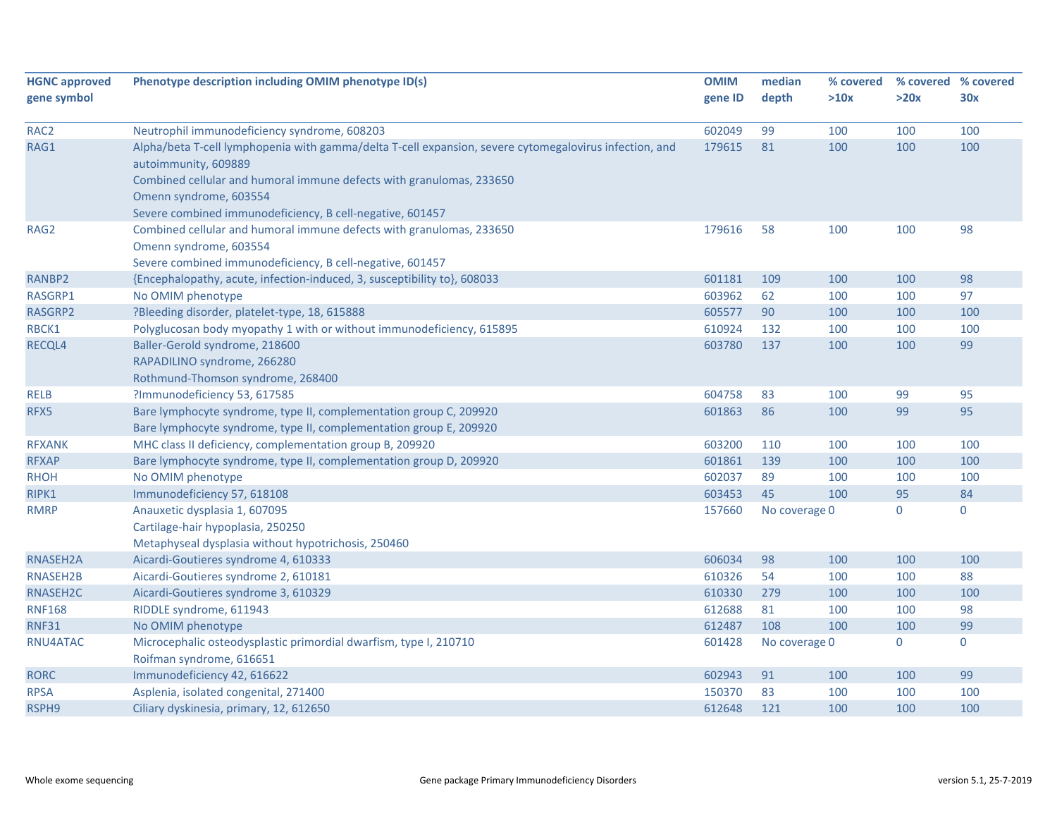| <b>HGNC approved</b> | Phenotype description including OMIM phenotype ID(s)                                                   | <b>OMIM</b> | median        | % covered |             | % covered % covered |
|----------------------|--------------------------------------------------------------------------------------------------------|-------------|---------------|-----------|-------------|---------------------|
| gene symbol          |                                                                                                        | gene ID     | depth         | >10x      | >20x        | 30x                 |
|                      |                                                                                                        |             |               |           |             |                     |
| RAC <sub>2</sub>     | Neutrophil immunodeficiency syndrome, 608203                                                           | 602049      | 99            | 100       | 100         | 100                 |
| RAG1                 | Alpha/beta T-cell lymphopenia with gamma/delta T-cell expansion, severe cytomegalovirus infection, and | 179615      | 81            | 100       | 100         | 100                 |
|                      | autoimmunity, 609889                                                                                   |             |               |           |             |                     |
|                      | Combined cellular and humoral immune defects with granulomas, 233650                                   |             |               |           |             |                     |
|                      | Omenn syndrome, 603554                                                                                 |             |               |           |             |                     |
|                      | Severe combined immunodeficiency, B cell-negative, 601457                                              |             |               |           |             |                     |
| RAG2                 | Combined cellular and humoral immune defects with granulomas, 233650                                   | 179616      | 58            | 100       | 100         | 98                  |
|                      | Omenn syndrome, 603554                                                                                 |             |               |           |             |                     |
|                      | Severe combined immunodeficiency, B cell-negative, 601457                                              |             |               |           |             |                     |
| RANBP2               | {Encephalopathy, acute, infection-induced, 3, susceptibility to}, 608033                               | 601181      | 109           | 100       | 100         | 98                  |
| RASGRP1              | No OMIM phenotype                                                                                      | 603962      | 62            | 100       | 100         | 97                  |
| RASGRP2              | ?Bleeding disorder, platelet-type, 18, 615888                                                          | 605577      | 90            | 100       | 100         | 100                 |
| RBCK1                | Polyglucosan body myopathy 1 with or without immunodeficiency, 615895                                  | 610924      | 132           | 100       | 100         | 100                 |
| RECQL4               | Baller-Gerold syndrome, 218600                                                                         | 603780      | 137           | 100       | 100         | 99                  |
|                      | RAPADILINO syndrome, 266280                                                                            |             |               |           |             |                     |
|                      | Rothmund-Thomson syndrome, 268400                                                                      |             |               |           |             |                     |
| <b>RELB</b>          | ?Immunodeficiency 53, 617585                                                                           | 604758      | 83            | 100       | 99          | 95                  |
| RFX5                 | Bare lymphocyte syndrome, type II, complementation group C, 209920                                     | 601863      | 86            | 100       | 99          | 95                  |
|                      | Bare lymphocyte syndrome, type II, complementation group E, 209920                                     |             |               |           |             |                     |
| <b>RFXANK</b>        | MHC class II deficiency, complementation group B, 209920                                               | 603200      | 110           | 100       | 100         | 100                 |
| <b>RFXAP</b>         | Bare lymphocyte syndrome, type II, complementation group D, 209920                                     | 601861      | 139           | 100       | 100         | 100                 |
| <b>RHOH</b>          | No OMIM phenotype                                                                                      | 602037      | 89            | 100       | 100         | 100                 |
| RIPK1                | Immunodeficiency 57, 618108                                                                            | 603453      | 45            | 100       | 95          | 84                  |
| <b>RMRP</b>          | Anauxetic dysplasia 1, 607095                                                                          | 157660      | No coverage 0 |           | $\mathbf 0$ | $\mathbf 0$         |
|                      | Cartilage-hair hypoplasia, 250250                                                                      |             |               |           |             |                     |
|                      | Metaphyseal dysplasia without hypotrichosis, 250460                                                    |             |               |           |             |                     |
| RNASEH2A             | Aicardi-Goutieres syndrome 4, 610333                                                                   | 606034      | 98            | 100       | 100         | 100                 |
| RNASEH2B             | Aicardi-Goutieres syndrome 2, 610181                                                                   | 610326      | 54            | 100       | 100         | 88                  |
| RNASEH2C             | Aicardi-Goutieres syndrome 3, 610329                                                                   | 610330      | 279           | 100       | 100         | 100                 |
| <b>RNF168</b>        | RIDDLE syndrome, 611943                                                                                | 612688      | 81            | 100       | 100         | 98                  |
| <b>RNF31</b>         | No OMIM phenotype                                                                                      | 612487      | 108           | 100       | 100         | 99                  |
| RNU4ATAC             | Microcephalic osteodysplastic primordial dwarfism, type I, 210710                                      | 601428      | No coverage 0 |           | $\mathbf 0$ | $\mathbf 0$         |
|                      | Roifman syndrome, 616651                                                                               |             |               |           |             |                     |
| <b>RORC</b>          | Immunodeficiency 42, 616622                                                                            | 602943      | 91            | 100       | 100         | 99                  |
| <b>RPSA</b>          | Asplenia, isolated congenital, 271400                                                                  | 150370      | 83            | 100       | 100         | 100                 |
| RSPH9                | Ciliary dyskinesia, primary, 12, 612650                                                                | 612648      | 121           | 100       | 100         | 100                 |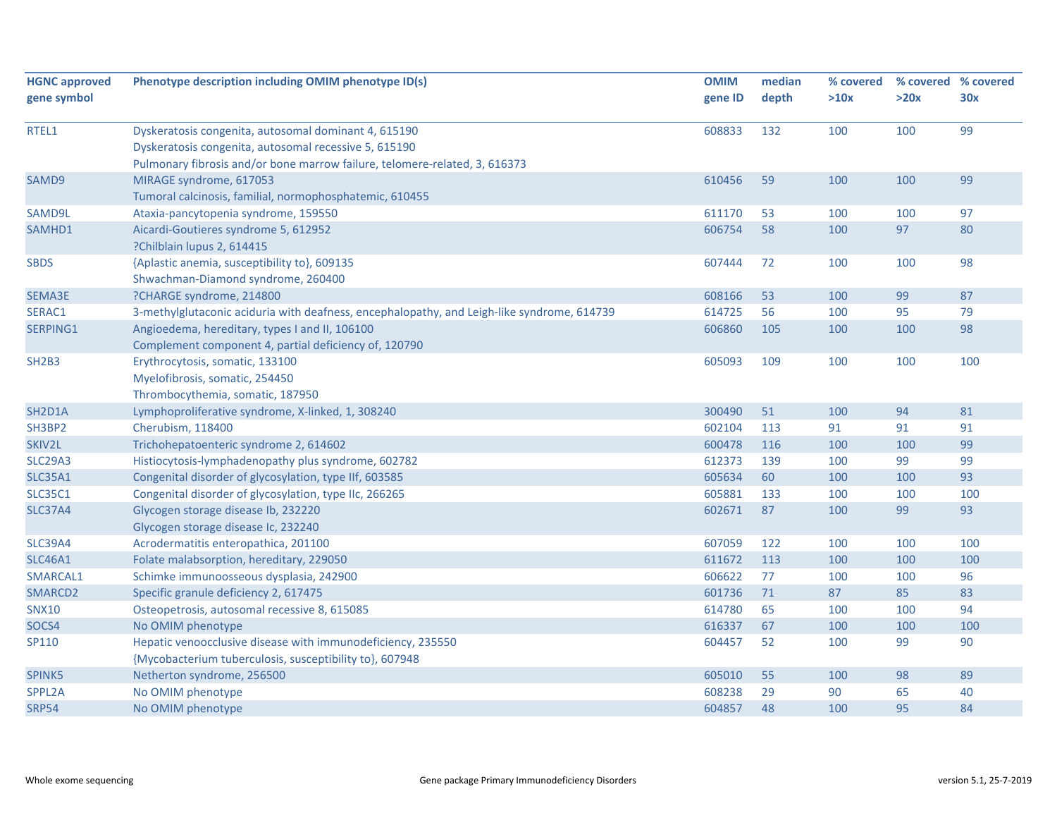| <b>HGNC approved</b>             | Phenotype description including OMIM phenotype ID(s)                                       | <b>OMIM</b> | median | % covered | % covered % covered |     |
|----------------------------------|--------------------------------------------------------------------------------------------|-------------|--------|-----------|---------------------|-----|
| gene symbol                      |                                                                                            | gene ID     | depth  | >10x      | >20x                | 30x |
|                                  |                                                                                            |             |        |           |                     |     |
| RTEL1                            | Dyskeratosis congenita, autosomal dominant 4, 615190                                       | 608833      | 132    | 100       | 100                 | 99  |
|                                  | Dyskeratosis congenita, autosomal recessive 5, 615190                                      |             |        |           |                     |     |
|                                  | Pulmonary fibrosis and/or bone marrow failure, telomere-related, 3, 616373                 |             |        |           |                     |     |
| SAMD9                            | MIRAGE syndrome, 617053                                                                    | 610456      | 59     | 100       | 100                 | 99  |
|                                  | Tumoral calcinosis, familial, normophosphatemic, 610455                                    |             |        |           |                     |     |
| SAMD9L                           | Ataxia-pancytopenia syndrome, 159550                                                       | 611170      | 53     | 100       | 100                 | 97  |
| SAMHD1                           | Aicardi-Goutieres syndrome 5, 612952                                                       | 606754      | 58     | 100       | 97                  | 80  |
|                                  | ?Chilblain lupus 2, 614415                                                                 |             |        |           |                     |     |
| <b>SBDS</b>                      | {Aplastic anemia, susceptibility to}, 609135                                               | 607444      | 72     | 100       | 100                 | 98  |
|                                  | Shwachman-Diamond syndrome, 260400                                                         |             |        |           |                     |     |
| SEMA3E                           | ?CHARGE syndrome, 214800                                                                   | 608166      | 53     | 100       | 99                  | 87  |
| SERAC1                           | 3-methylglutaconic aciduria with deafness, encephalopathy, and Leigh-like syndrome, 614739 | 614725      | 56     | 100       | 95                  | 79  |
| SERPING1                         | Angioedema, hereditary, types I and II, 106100                                             | 606860      | 105    | 100       | 100                 | 98  |
|                                  | Complement component 4, partial deficiency of, 120790                                      |             |        |           |                     |     |
| <b>SH2B3</b>                     | Erythrocytosis, somatic, 133100                                                            | 605093      | 109    | 100       | 100                 | 100 |
|                                  | Myelofibrosis, somatic, 254450                                                             |             |        |           |                     |     |
|                                  | Thrombocythemia, somatic, 187950                                                           |             |        |           |                     |     |
| SH <sub>2</sub> D <sub>1</sub> A | Lymphoproliferative syndrome, X-linked, 1, 308240                                          | 300490      | 51     | 100       | 94                  | 81  |
| SH3BP2                           | Cherubism, 118400                                                                          | 602104      | 113    | 91        | 91                  | 91  |
| SKIV2L                           | Trichohepatoenteric syndrome 2, 614602                                                     | 600478      | 116    | 100       | 100                 | 99  |
| <b>SLC29A3</b>                   | Histiocytosis-lymphadenopathy plus syndrome, 602782                                        | 612373      | 139    | 100       | 99                  | 99  |
| <b>SLC35A1</b>                   | Congenital disorder of glycosylation, type IIf, 603585                                     | 605634      | 60     | 100       | 100                 | 93  |
| <b>SLC35C1</b>                   | Congenital disorder of glycosylation, type IIc, 266265                                     | 605881      | 133    | 100       | 100                 | 100 |
| <b>SLC37A4</b>                   | Glycogen storage disease Ib, 232220                                                        | 602671      | 87     | 100       | 99                  | 93  |
|                                  | Glycogen storage disease Ic, 232240                                                        |             |        |           |                     |     |
| <b>SLC39A4</b>                   | Acrodermatitis enteropathica, 201100                                                       | 607059      | 122    | 100       | 100                 | 100 |
| <b>SLC46A1</b>                   | Folate malabsorption, hereditary, 229050                                                   | 611672      | 113    | 100       | 100                 | 100 |
| SMARCAL1                         | Schimke immunoosseous dysplasia, 242900                                                    | 606622      | 77     | 100       | 100                 | 96  |
| SMARCD2                          | Specific granule deficiency 2, 617475                                                      | 601736      | 71     | 87        | 85                  | 83  |
| <b>SNX10</b>                     | Osteopetrosis, autosomal recessive 8, 615085                                               | 614780      | 65     | 100       | 100                 | 94  |
| SOCS4                            | No OMIM phenotype                                                                          | 616337      | 67     | 100       | 100                 | 100 |
| SP110                            | Hepatic venoocclusive disease with immunodeficiency, 235550                                | 604457      | 52     | 100       | 99                  | 90  |
|                                  | {Mycobacterium tuberculosis, susceptibility to}, 607948                                    |             |        |           |                     |     |
| SPINK5                           | Netherton syndrome, 256500                                                                 | 605010      | 55     | 100       | 98                  | 89  |
| SPPL2A                           | No OMIM phenotype                                                                          | 608238      | 29     | 90        | 65                  | 40  |
| <b>SRP54</b>                     | No OMIM phenotype                                                                          | 604857      | 48     | 100       | 95                  | 84  |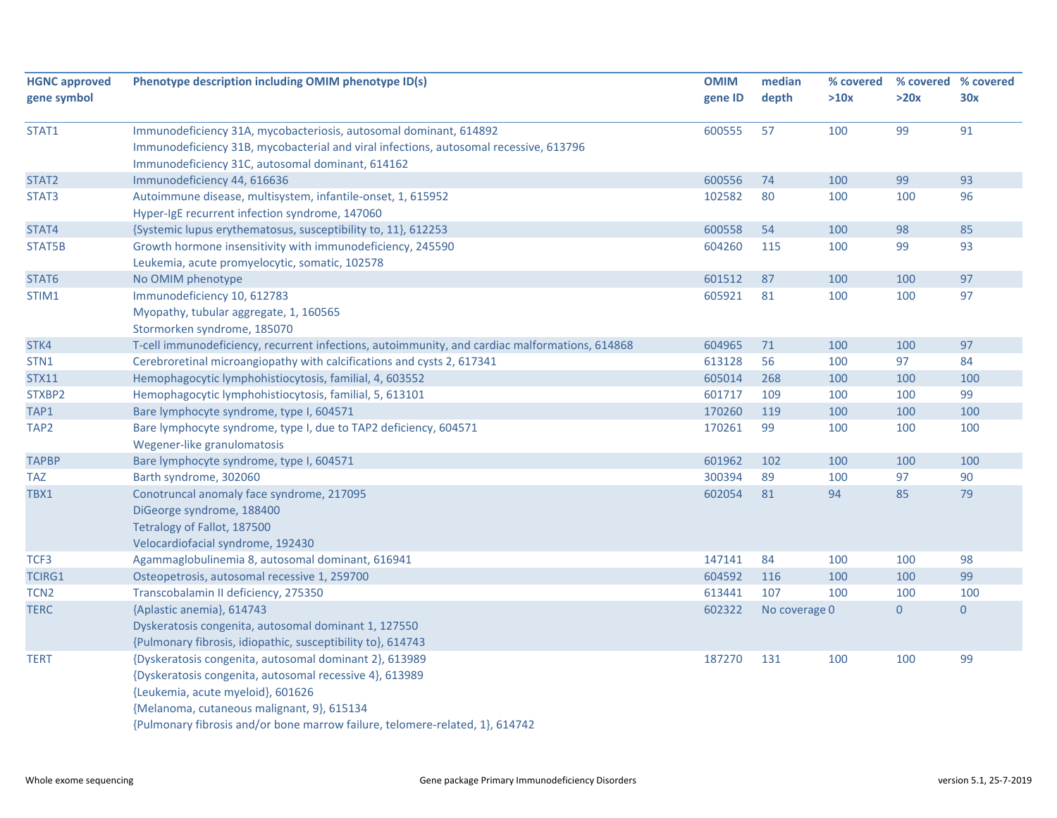|                  |                                                                                                | <b>OMIM</b> | median        | % covered |                | % covered % covered |
|------------------|------------------------------------------------------------------------------------------------|-------------|---------------|-----------|----------------|---------------------|
| gene symbol      |                                                                                                | gene ID     | depth         | >10x      | >20x           | 30x                 |
| STAT1            | Immunodeficiency 31A, mycobacteriosis, autosomal dominant, 614892                              | 600555      | 57            | 100       | 99             | 91                  |
|                  | Immunodeficiency 31B, mycobacterial and viral infections, autosomal recessive, 613796          |             |               |           |                |                     |
|                  | Immunodeficiency 31C, autosomal dominant, 614162                                               |             |               |           |                |                     |
| STAT2            | Immunodeficiency 44, 616636                                                                    | 600556      | 74            | 100       | 99             | 93                  |
| STAT3            | Autoimmune disease, multisystem, infantile-onset, 1, 615952                                    | 102582      | 80            | 100       | 100            | 96                  |
|                  | Hyper-IgE recurrent infection syndrome, 147060                                                 |             |               |           |                |                     |
| STAT4            | {Systemic lupus erythematosus, susceptibility to, 11}, 612253                                  | 600558      | 54            | 100       | 98             | 85                  |
| STAT5B           | Growth hormone insensitivity with immunodeficiency, 245590                                     | 604260      | 115           | 100       | 99             | 93                  |
|                  | Leukemia, acute promyelocytic, somatic, 102578                                                 |             |               |           |                |                     |
| STAT6            | No OMIM phenotype                                                                              | 601512      | 87            | 100       | 100            | 97                  |
| STIM1            | Immunodeficiency 10, 612783                                                                    | 605921      | 81            | 100       | 100            | 97                  |
|                  | Myopathy, tubular aggregate, 1, 160565                                                         |             |               |           |                |                     |
|                  | Stormorken syndrome, 185070                                                                    |             |               |           |                |                     |
| STK4             | T-cell immunodeficiency, recurrent infections, autoimmunity, and cardiac malformations, 614868 | 604965      | 71            | 100       | 100            | 97                  |
| STN1             | Cerebroretinal microangiopathy with calcifications and cysts 2, 617341                         | 613128      | 56            | 100       | 97             | 84                  |
| <b>STX11</b>     | Hemophagocytic lymphohistiocytosis, familial, 4, 603552                                        | 605014      | 268           | 100       | 100            | 100                 |
| STXBP2           | Hemophagocytic lymphohistiocytosis, familial, 5, 613101                                        | 601717      | 109           | 100       | 100            | 99                  |
| TAP1             | Bare lymphocyte syndrome, type I, 604571                                                       | 170260      | 119           | 100       | 100            | 100                 |
| TAP <sub>2</sub> | Bare lymphocyte syndrome, type I, due to TAP2 deficiency, 604571                               | 170261      | 99            | 100       | 100            | 100                 |
|                  | Wegener-like granulomatosis                                                                    |             |               |           |                |                     |
| <b>TAPBP</b>     | Bare lymphocyte syndrome, type I, 604571                                                       | 601962      | 102           | 100       | 100            | 100                 |
| <b>TAZ</b>       | Barth syndrome, 302060                                                                         | 300394      | 89            | 100       | 97             | 90                  |
| TBX1             | Conotruncal anomaly face syndrome, 217095                                                      | 602054      | 81            | 94        | 85             | 79                  |
|                  | DiGeorge syndrome, 188400                                                                      |             |               |           |                |                     |
|                  | Tetralogy of Fallot, 187500                                                                    |             |               |           |                |                     |
|                  | Velocardiofacial syndrome, 192430                                                              |             |               |           |                |                     |
| TCF3             | Agammaglobulinemia 8, autosomal dominant, 616941                                               | 147141      | 84            | 100       | 100            | 98                  |
| <b>TCIRG1</b>    | Osteopetrosis, autosomal recessive 1, 259700                                                   | 604592      | 116           | 100       | 100            | 99                  |
| TCN <sub>2</sub> | Transcobalamin II deficiency, 275350                                                           | 613441      | 107           | 100       | 100            | 100                 |
| <b>TERC</b>      | {Aplastic anemia}, 614743                                                                      | 602322      | No coverage 0 |           | $\overline{0}$ | $\overline{0}$      |
|                  | Dyskeratosis congenita, autosomal dominant 1, 127550                                           |             |               |           |                |                     |
|                  | {Pulmonary fibrosis, idiopathic, susceptibility to}, 614743                                    |             |               |           |                |                     |
| <b>TERT</b>      | {Dyskeratosis congenita, autosomal dominant 2}, 613989                                         | 187270      | 131           | 100       | 100            | 99                  |
|                  | {Dyskeratosis congenita, autosomal recessive 4}, 613989                                        |             |               |           |                |                     |
|                  | {Leukemia, acute myeloid}, 601626                                                              |             |               |           |                |                     |
|                  | {Melanoma, cutaneous malignant, 9}, 615134                                                     |             |               |           |                |                     |
|                  | {Pulmonary fibrosis and/or bone marrow failure, telomere-related, 1}, 614742                   |             |               |           |                |                     |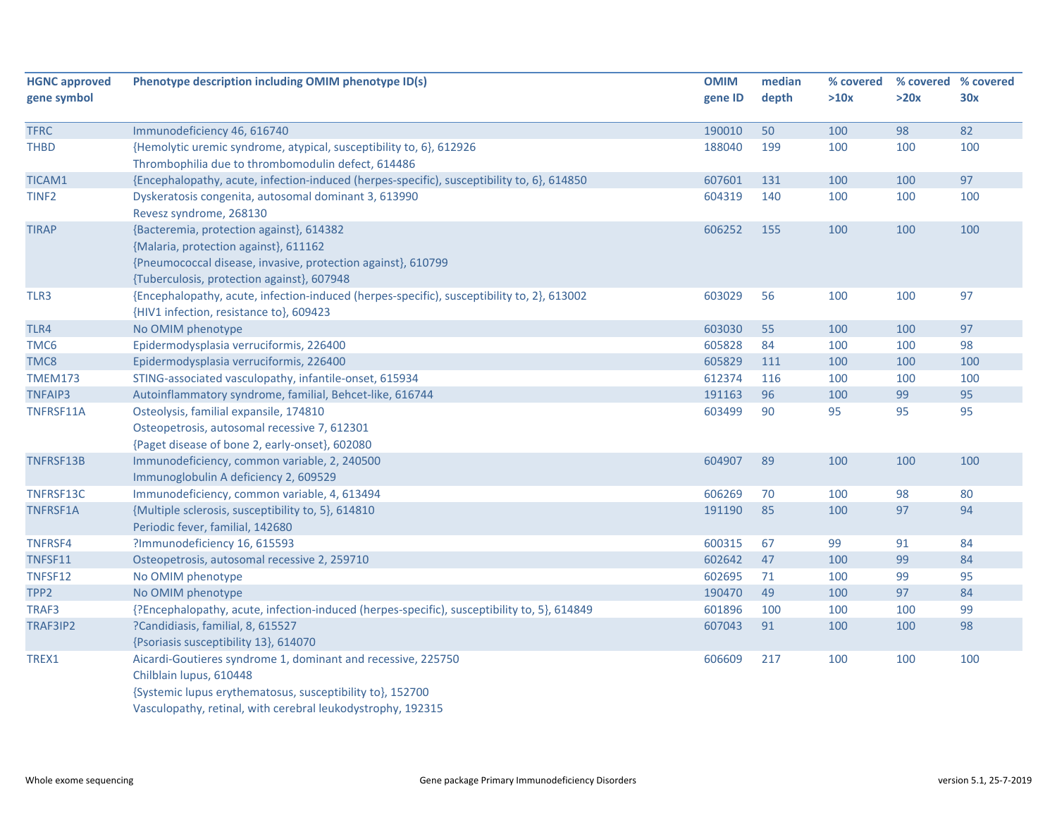| <b>HGNC approved</b> | Phenotype description including OMIM phenotype ID(s)                                        | <b>OMIM</b> | median | % covered | % covered % covered |     |
|----------------------|---------------------------------------------------------------------------------------------|-------------|--------|-----------|---------------------|-----|
| gene symbol          |                                                                                             | gene ID     | depth  | >10x      | >20x                | 30x |
|                      |                                                                                             |             |        |           |                     |     |
| <b>TFRC</b>          | Immunodeficiency 46, 616740                                                                 | 190010      | 50     | 100       | 98                  | 82  |
| THBD                 | {Hemolytic uremic syndrome, atypical, susceptibility to, 6}, 612926                         | 188040      | 199    | 100       | 100                 | 100 |
|                      | Thrombophilia due to thrombomodulin defect, 614486                                          |             |        |           |                     |     |
| TICAM1               | {Encephalopathy, acute, infection-induced (herpes-specific), susceptibility to, 6}, 614850  | 607601      | 131    | 100       | 100                 | 97  |
| TINF <sub>2</sub>    | Dyskeratosis congenita, autosomal dominant 3, 613990                                        | 604319      | 140    | 100       | 100                 | 100 |
|                      | Revesz syndrome, 268130                                                                     |             |        |           |                     |     |
| <b>TIRAP</b>         | {Bacteremia, protection against}, 614382                                                    | 606252      | 155    | 100       | 100                 | 100 |
|                      | {Malaria, protection against}, 611162                                                       |             |        |           |                     |     |
|                      | {Pneumococcal disease, invasive, protection against}, 610799                                |             |        |           |                     |     |
|                      | {Tuberculosis, protection against}, 607948                                                  |             |        |           |                     |     |
| TLR3                 | {Encephalopathy, acute, infection-induced (herpes-specific), susceptibility to, 2}, 613002  | 603029      | 56     | 100       | 100                 | 97  |
|                      | {HIV1 infection, resistance to}, 609423                                                     |             |        |           |                     |     |
| TLR4                 | No OMIM phenotype                                                                           | 603030      | 55     | 100       | 100                 | 97  |
| TMC6                 | Epidermodysplasia verruciformis, 226400                                                     | 605828      | 84     | 100       | 100                 | 98  |
| TMC8                 | Epidermodysplasia verruciformis, 226400                                                     | 605829      | 111    | 100       | 100                 | 100 |
| <b>TMEM173</b>       | STING-associated vasculopathy, infantile-onset, 615934                                      | 612374      | 116    | 100       | 100                 | 100 |
| <b>TNFAIP3</b>       | Autoinflammatory syndrome, familial, Behcet-like, 616744                                    | 191163      | 96     | 100       | 99                  | 95  |
| TNFRSF11A            | Osteolysis, familial expansile, 174810                                                      | 603499      | 90     | 95        | 95                  | 95  |
|                      | Osteopetrosis, autosomal recessive 7, 612301                                                |             |        |           |                     |     |
|                      | {Paget disease of bone 2, early-onset}, 602080                                              |             |        |           |                     |     |
| TNFRSF13B            | Immunodeficiency, common variable, 2, 240500                                                | 604907      | 89     | 100       | 100                 | 100 |
|                      | Immunoglobulin A deficiency 2, 609529                                                       |             |        |           |                     |     |
| TNFRSF13C            | Immunodeficiency, common variable, 4, 613494                                                | 606269      | 70     | 100       | 98                  | 80  |
| TNFRSF1A             | {Multiple sclerosis, susceptibility to, 5}, 614810                                          | 191190      | 85     | 100       | 97                  | 94  |
|                      | Periodic fever, familial, 142680                                                            |             |        |           |                     |     |
| TNFRSF4              | ?Immunodeficiency 16, 615593                                                                | 600315      | 67     | 99        | 91                  | 84  |
| TNFSF11              | Osteopetrosis, autosomal recessive 2, 259710                                                | 602642      | 47     | 100       | 99                  | 84  |
| TNFSF12              | No OMIM phenotype                                                                           | 602695      | 71     | 100       | 99                  | 95  |
| TPP2                 | No OMIM phenotype                                                                           | 190470      | 49     | 100       | 97                  | 84  |
| TRAF3                | {?Encephalopathy, acute, infection-induced (herpes-specific), susceptibility to, 5}, 614849 | 601896      | 100    | 100       | 100                 | 99  |
| TRAF3IP2             | ?Candidiasis, familial, 8, 615527                                                           | 607043      | 91     | 100       | 100                 | 98  |
|                      | {Psoriasis susceptibility 13}, 614070                                                       |             |        |           |                     |     |
| TREX1                | Aicardi-Goutieres syndrome 1, dominant and recessive, 225750                                | 606609      | 217    | 100       | 100                 | 100 |
|                      | Chilblain lupus, 610448                                                                     |             |        |           |                     |     |
|                      | {Systemic lupus erythematosus, susceptibility to}, 152700                                   |             |        |           |                     |     |
|                      | Vasculopathy, retinal, with cerebral leukodystrophy, 192315                                 |             |        |           |                     |     |